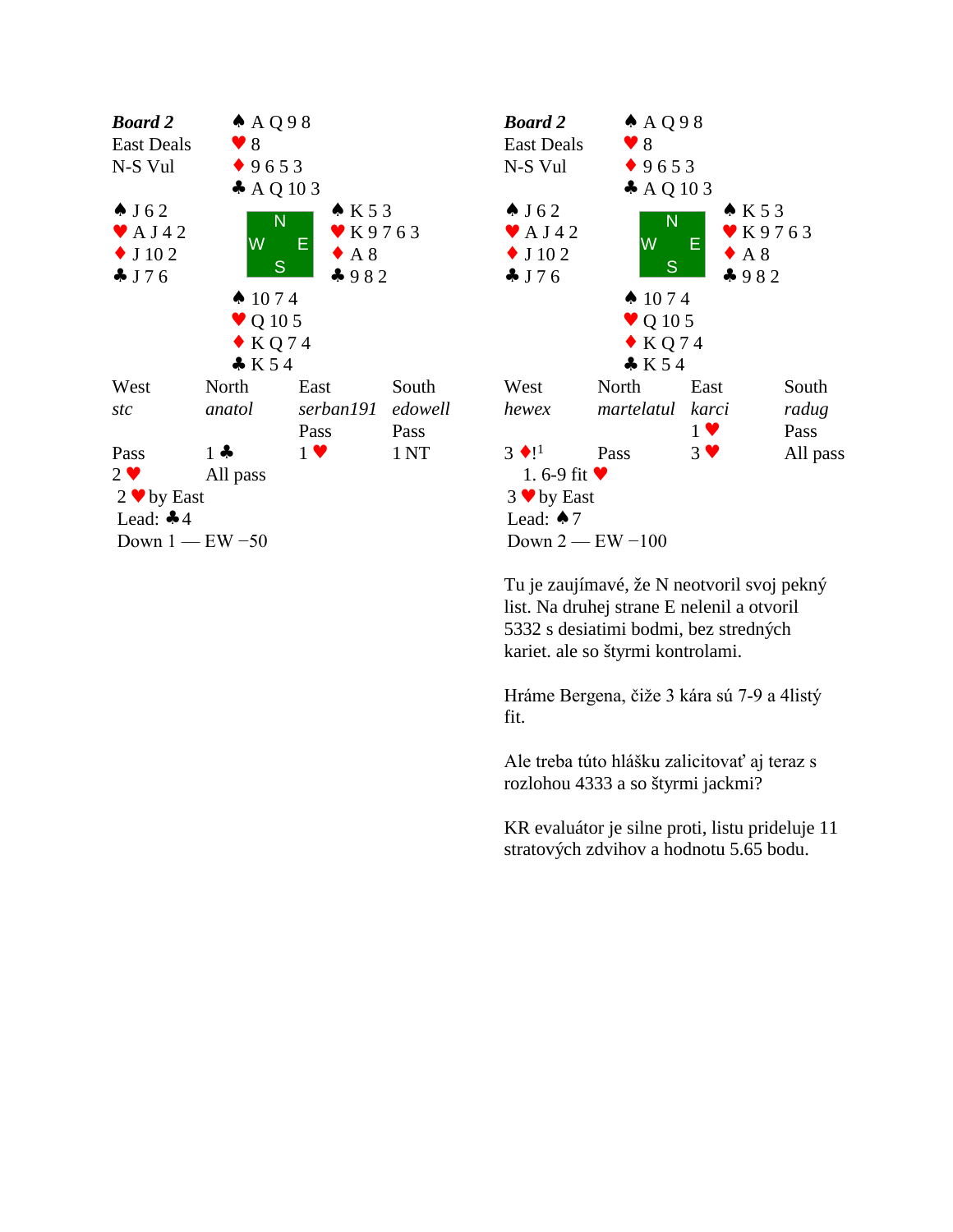



Tu je zaujímavé, že N neotvoril svoj pekný list. Na druhej strane E nelenil a otvoril 5332 s desiatimi bodmi, bez stredných kariet. ale so štyrmi kontrolami.

Hráme Bergena, čiže 3 kára sú 7-9 a 4listý fit.

Ale treba túto hlášku zalicitovať aj teraz s rozlohou 4333 a so štyrmi jackmi?

KR evaluátor je silne proti, listu prideluje 11 stratových zdvihov a hodnotu 5.65 bodu.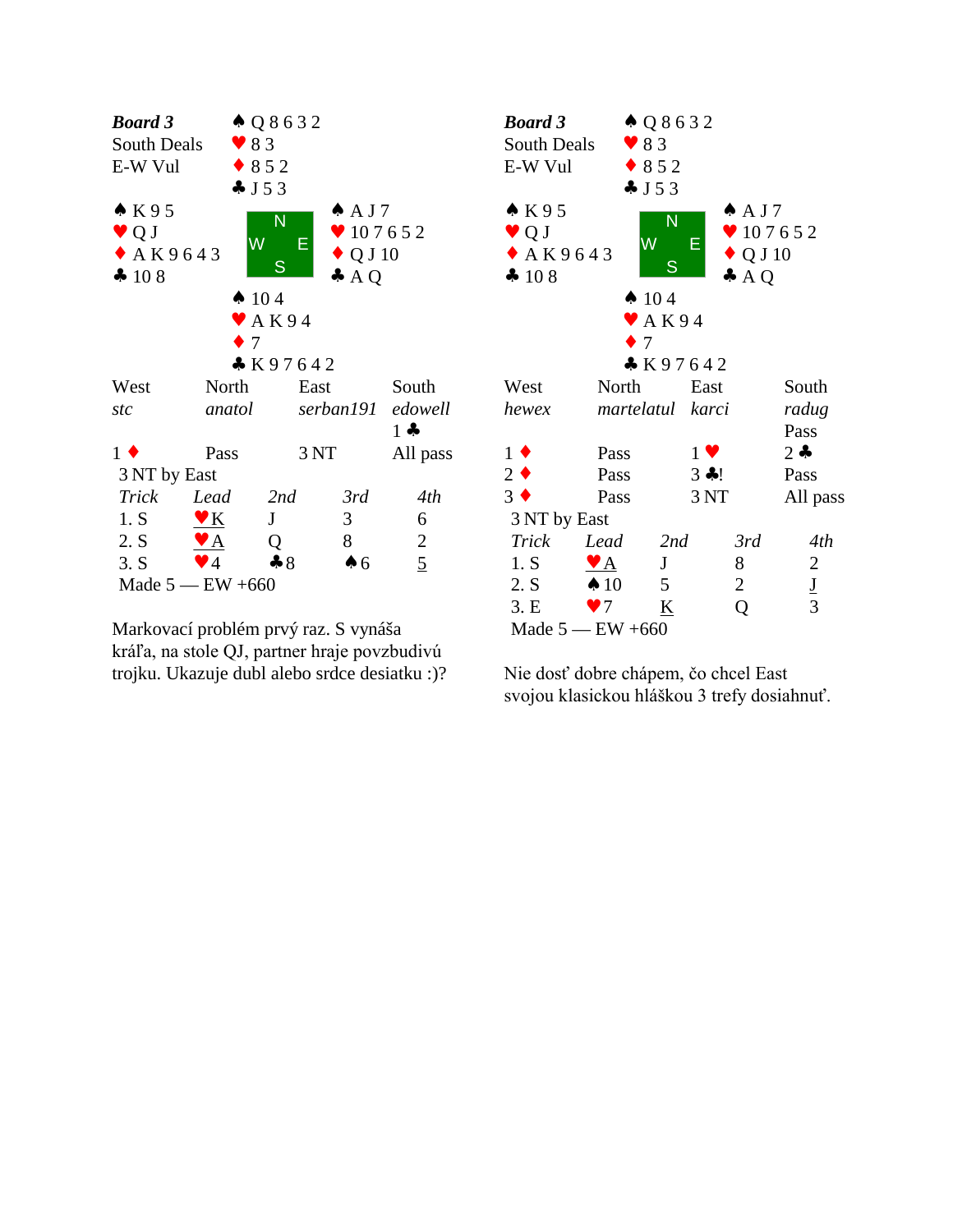

Markovací problém prvý raz. S vynáša kráľa, na stole QJ, partner hraje povzbudivú trojku. Ukazuje dubl alebo srdce desiatku :)?

| <b>Board 3</b>                                                |                  | $\triangle Q8632$          |                                                                             |               |  |
|---------------------------------------------------------------|------------------|----------------------------|-----------------------------------------------------------------------------|---------------|--|
| South Deals                                                   | $\bullet$ 83     |                            |                                                                             |               |  |
| E-W Vul                                                       | $* 852$          |                            |                                                                             |               |  |
|                                                               | J53              |                            |                                                                             |               |  |
| $\bullet$ K95<br>$\bullet$ Q J<br>$\triangle$ AK9643<br>4 108 | W                | N<br>Е<br>S                | $\triangle$ AJ7<br>$\bullet$ 107652<br>$\triangle$ Q J 10<br>$\clubsuit$ AQ |               |  |
|                                                               | $\spadesuit$ 104 |                            |                                                                             |               |  |
|                                                               |                  | $\blacktriangleright$ AK94 |                                                                             |               |  |
|                                                               | $\bullet$ 7      |                            |                                                                             |               |  |
|                                                               |                  | K97642                     |                                                                             |               |  |
| West                                                          | North            | East                       |                                                                             | South         |  |
| hewex                                                         |                  | martelatul karci           |                                                                             | radug         |  |
|                                                               |                  |                            |                                                                             | Pass          |  |
| $1 \bullet$                                                   | Pass             | $1 \vee$                   |                                                                             | $2 \bullet$   |  |
| $2 \bullet$                                                   | Pass             | 3 ÷!                       |                                                                             | Pass          |  |
| $3 \bullet$                                                   | Pass             | 3 <sub>NT</sub>            |                                                                             | All pass      |  |
| 3 NT by East                                                  |                  |                            |                                                                             |               |  |
| Trick                                                         | Lead             | 2nd                        | 3rd                                                                         | 4th           |  |
| 1. S                                                          | $\mathbf{A}$     | J                          | 8                                                                           | 2             |  |
| 2. S                                                          | $\spadesuit$ 10  | $5\overline{)}$            | $\overline{2}$                                                              |               |  |
| 3.E                                                           | $\bullet$ 7      | K                          | Q                                                                           | $\frac{J}{3}$ |  |
| Made $5$ — EW +660                                            |                  |                            |                                                                             |               |  |

Nie dosť dobre chápem, čo chcel East svojou klasickou hláškou 3 trefy dosiahnuť.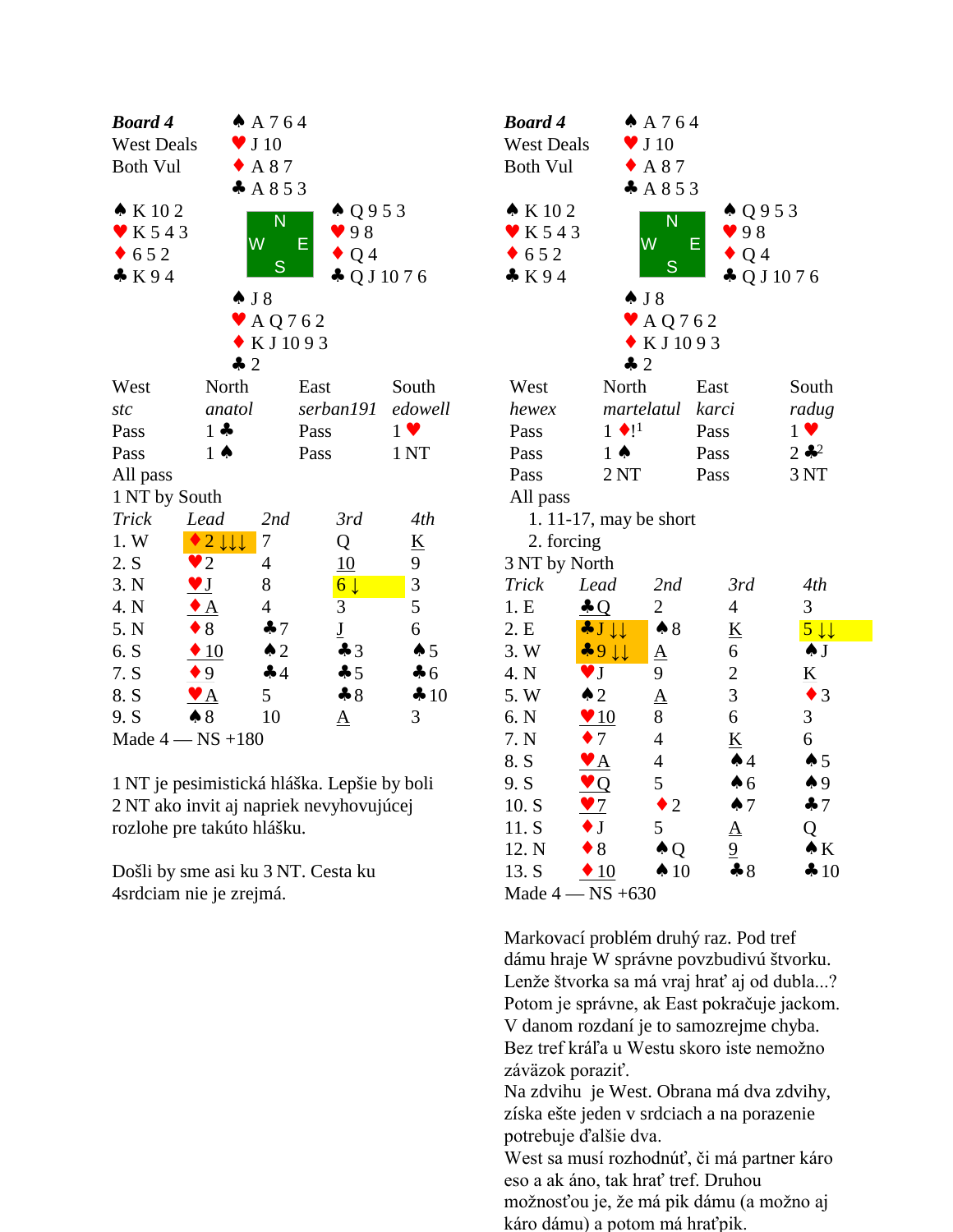| <b>Board 4</b>         |                                      | A 764                       |                                             |                 | Bo             |
|------------------------|--------------------------------------|-----------------------------|---------------------------------------------|-----------------|----------------|
| <b>West Deals</b>      |                                      | J <sub>10</sub>             |                                             |                 | We             |
| <b>Both Vul</b>        |                                      | A 87                        |                                             |                 | Bo             |
|                        |                                      | A853                        |                                             |                 |                |
| $\bullet$ K 102        |                                      | N                           | $\triangle Q953$                            |                 | A.             |
| K543                   |                                      | Ŵ                           | 98<br>Е                                     |                 |                |
| 652<br>$\blacklozenge$ |                                      |                             | Q <sub>4</sub>                              |                 |                |
| K94                    |                                      | S                           | $\clubsuit$ Q J 10 7 6                      |                 | $\clubsuit$    |
|                        |                                      | $\spadesuit$ J 8            |                                             |                 |                |
|                        |                                      | $\blacktriangleright$ AQ762 |                                             |                 |                |
|                        |                                      | KJ1093                      |                                             |                 |                |
|                        |                                      | $\clubsuit$ 2               |                                             |                 |                |
| West                   | North                                |                             | East                                        | South           | W              |
| stc                    | anatol                               |                             | serban191                                   | edowell         | he             |
| Pass                   | $1 -$                                |                             | Pass                                        | $1 \vee$        | Pa             |
| Pass                   | $1 \spadesuit$                       |                             | Pass                                        | 1 <sub>NT</sub> | Pa             |
| All pass               |                                      |                             |                                             |                 | Pa             |
| 1 NT by South          |                                      |                             |                                             |                 | A <sub>1</sub> |
| Trick                  | Lead                                 | 2nd                         | 3rd                                         | 4th             |                |
| 1. W                   | $2 \downarrow \downarrow \downarrow$ | 7                           | Q                                           | <u>K</u>        |                |
| 2. S                   | $\overline{2}$                       | 4                           | 10                                          | 9               | 3N             |
| 3. N                   | $\vee$ J                             | 8                           | $6\downarrow$                               | 3               | Tri            |
| 4. N                   | $\bullet$ A                          | $\overline{4}$              | 3                                           | 5               | 1.1            |
| 5. N                   | $\bullet$ 8                          | $\clubsuit$ 7               | $\underline{\mathbf{J}}$                    | 6               | 2.1            |
| 6. S                   | $\div 10$                            | $\triangle$ 2               | $\clubsuit$ 3                               | $\spadesuit 5$  | 3.1            |
| 7. S                   | $\bullet 9$                          | $\clubsuit$ 4               | $\clubsuit$ 5                               | $\clubsuit$ 6   | 4.1            |
| 8. S                   | $\mathbf{Y}$ $\mathbf{A}$            | 5                           | $-8$                                        | 410             | 5.1            |
| 9. S                   | $\clubsuit 8$                        | 10                          | ${\underline{\rm A}}$                       | 3               | 6. I           |
|                        | Made $4 - NS + 180$                  |                             |                                             |                 | 7.1            |
|                        |                                      |                             |                                             |                 | 8.             |
|                        |                                      |                             | 1 NT je pesimistická hláška. Lepšie by boli |                 | 9.5            |
|                        |                                      |                             | 2 NT ako invit aj napriek nevyhovujúcej     |                 | 10.            |
|                        | rozlohe pre takúto hlášku.           |                             |                                             |                 | 11.            |

rozlohe pre takúto hlášku. 8.<br>
1 NT je pesimistická hláška. Lepšie by boli 9.<br>
2 NT ako invit aj napriek nevyhovujúcej 10<br>
rozlohe pre takúto hlášku. 11<br>
Došli by sme asi ku 3 NT. Cesta ku 13<br>
4 4 4 4 4 4 4 4 4 4 4 4 4 5 4 5 4 7 6 7 7 8 7 7 8 7 7 8

4srdciam nie je zrejmá.

| <b>Board 4</b>              |                           | A 764                       |                    |                           |  |
|-----------------------------|---------------------------|-----------------------------|--------------------|---------------------------|--|
| <b>West Deals</b>           |                           | $\blacktriangledown$ J 10   |                    |                           |  |
| <b>Both Vul</b>             |                           | $\triangle$ A 87            |                    |                           |  |
|                             |                           | A853                        |                    |                           |  |
| $\triangle$ K 102           |                           |                             | $\triangle Q953$   |                           |  |
| $\blacktriangleright$ K 543 |                           | $\overline{\mathsf{N}}$     | 98                 |                           |  |
| $\bullet$ 652               |                           | W                           | Е<br>$\bullet$ Q 4 |                           |  |
| K94                         |                           | S                           |                    | $\clubsuit$ Q J 10 7 6    |  |
|                             |                           | $\spadesuit$ J $\spadesuit$ |                    |                           |  |
|                             |                           | $\blacktriangleright$ AQ762 |                    |                           |  |
|                             |                           | $\bullet$ KJ1093            |                    |                           |  |
|                             | $\clubsuit$ 2             |                             |                    |                           |  |
| West                        | North                     |                             | East               | South                     |  |
| hewex                       | martelatul                |                             | karci              | radug                     |  |
| Pass                        | $1 \bullet 1^1$           |                             | Pass               | $1 \vee$                  |  |
| Pass                        | $1 \spadesuit$            |                             | Pass               | $2 *^{2}$                 |  |
| Pass                        | 2NT                       |                             | Pass               | 3 NT                      |  |
| All pass                    |                           |                             |                    |                           |  |
|                             | 1. $11-17$ , may be short |                             |                    |                           |  |
| 2. forcing                  |                           |                             |                    |                           |  |
| 3 NT by North               |                           |                             |                    |                           |  |
| Trick                       | Lead                      | 2nd                         | 3rd                | 4th                       |  |
| 1.E                         | $\clubsuit$ Q             | $\overline{c}$              | $\overline{4}$     | 3                         |  |
| 2. E                        | $J \downarrow \downarrow$ | $\clubsuit 8$               | <u>K</u>           | $5 \downarrow \downarrow$ |  |
| 3. W                        | $-911$                    | $\underline{A}$             | 6                  | $\clubsuit$ J             |  |
| 4. N                        | V J                       | 9                           | $\overline{c}$     | <u>K</u>                  |  |
| 5. W                        | $\triangle$ 2             | $\overline{\mathbf{A}}$     | 3                  | $\bullet$ 3               |  |
| 6. N                        | $\blacktriangledown 10$   | 8                           | 6                  | 3                         |  |
| 7. N                        | 7                         | $\overline{4}$              | K                  | 6                         |  |
| 8. S                        | $\mathbf{Y}$ $\mathbf{A}$ | 4                           | $\spadesuit$ 4     | $\spadesuit$ 5            |  |
| 9. S                        | $\vee Q$                  | 5                           | $\spadesuit$ 6     | $\spadesuit$ 9            |  |
| 10. S                       | $\bullet$ 7               | $\overline{2}$<br>٠         | $\spadesuit$ 7     | 47                        |  |
| 11. S                       | $\bullet$ J               | 5                           | $\underline{A}$    | Q                         |  |
| 12. N                       | $\bullet$ 8               | $\triangle Q$               | $\overline{6}$     | $\bullet K$               |  |
| 13. S                       | $\triangle$ 10            | $\spadesuit$ 10             | $\clubsuit 8$      | 410                       |  |
| Made $4-$                   | $-$ NS +630               |                             |                    |                           |  |

Markovací problém druhý raz. Pod tref dámu hraje W správne povzbudivú štvorku. Lenže štvorka sa má vraj hrať aj od dubla...? Potom je správne, ak East pokračuje jackom. V danom rozdaní je to samozrejme chyba. Bez tref kráľa u Westu skoro iste nemožno záväzok poraziť.

Na zdvihu je West. Obrana má dva zdvihy, získa ešte jeden v srdciach a na porazenie potrebuje ďalšie dva.

West sa musí rozhodnúť, či má partner káro eso a ak áno, tak hrať tref. Druhou možnosťou je, že má pik dámu (a možno aj káro dámu) a potom má hraťpik.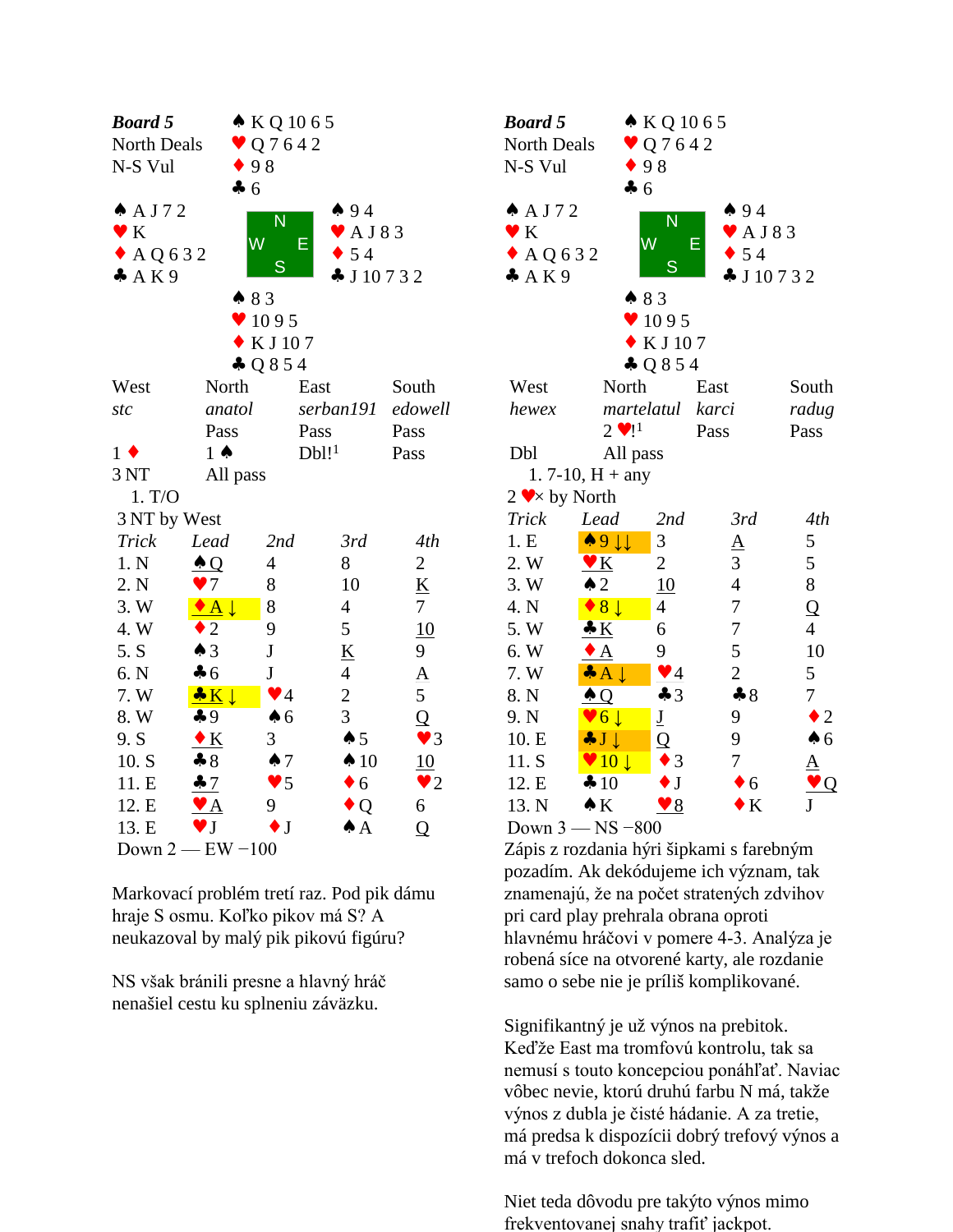| <b>Board 5</b>    |                          | $\bullet$ KQ 1065      |                                 |                        | <b>Boa</b>                   |
|-------------------|--------------------------|------------------------|---------------------------------|------------------------|------------------------------|
| North Deals       |                          | Q 7 6 4 2              |                                 |                        | Nor                          |
| N-S Vul           |                          | $\bullet$ 98           |                                 |                        | $N-S$                        |
|                   | $\clubsuit$ 6            |                        |                                 |                        |                              |
| $A$ A J 7 2       |                          | N                      | 494                             |                        | $\clubsuit$ $\angle$         |
| $\bullet K$       |                          | W                      | $\blacktriangleright$ AJ83<br>E |                        | $\bullet$ F                  |
| $\triangle$ AQ632 |                          |                        | $\bullet$ 54                    |                        | $\bullet$ $\land$            |
| A K 9             |                          | S                      | $\clubsuit$ J 10732             |                        | $\clubsuit$ $\measuredangle$ |
|                   |                          | 83                     |                                 |                        |                              |
|                   |                          | 95                     |                                 |                        |                              |
|                   |                          | KJ107                  |                                 |                        |                              |
|                   |                          | $\clubsuit$ Q 8 5 4    |                                 |                        |                              |
| West              | North                    |                        | East                            | South                  | We                           |
| stc               | anatol                   |                        | serban191                       | edowell                | her                          |
|                   | Pass                     |                        | Pass                            | Pass                   |                              |
| $1 \bullet$       | $1 \spadesuit$           |                        | Db1!                            | Pass                   | Db                           |
| 3 NT              | All pass                 |                        |                                 |                        |                              |
| 1. T/O            |                          |                        |                                 |                        | $2 \bullet$                  |
| 3 NT by West      |                          |                        |                                 |                        | Trie                         |
| <b>Trick</b>      | Lead                     | 2nd                    | 3rd                             | 4th                    | 1. F                         |
| 1. N              | $\triangle Q$            | 4                      | 8                               | $\mathbf{2}$           | $2. \mathrm{V}$              |
| 2. N              | $\bullet$ 7              | 8                      | 10                              | $\underline{K}$        | $3. \sqrt{ }$                |
| 3.W               | $\bullet$ A $\downarrow$ | 8                      | $\overline{4}$                  | $\overline{7}$         | $4. \Gamma$                  |
| 4. W              | $\bullet$ 2              | 9                      | 5                               | 10                     | $5. \mathrm{V}$              |
| 5. S              | $\triangle$ 3            | $\mathbf J$            | $\underline{\mathbf{K}}$        | 9                      | 6. V                         |
| 6. N              | $\clubsuit$ 6            | $\bf J$                | $\overline{4}$                  |                        | 7. V                         |
| 7. W              | $K \downarrow$           | $\blacktriangledown$ 4 | $\overline{2}$                  | $\frac{A}{5}$          | 8. N                         |
| 8. W              | $\clubsuit$ 9            | $\spadesuit$ 6         | 3                               | $\overline{Q}$         | $9. 3$                       |
| 9. S              | $\bullet K$              | 3                      | $\spadesuit$ 5                  | $\blacktriangledown$ 3 | 10.                          |
| 10. S             | $\clubsuit 8$            | $\spadesuit$ 7         | $\spadesuit$ 10                 | 10                     | 11.                          |
| 11. E             | 47                       | $\blacktriangledown$ 5 | $\bullet$ 6                     | $\bullet$ 2            | 12.                          |
| 12. E             | $\bullet$ A              | 9                      | $\bullet$ Q                     | 6                      | 13.                          |
| 13. E             | $\vee$ J                 | $\bullet$ J            | $\spadesuit$ A                  | $\overline{Q}$         | Do'                          |
|                   | Down $2$ - EW $-100$     |                        |                                 |                        | Záp                          |

Markovací problém tretí raz. Pod pik dámu hraje S osmu. Koľko pikov má S? A neukazoval by malý pik pikovú figúru?

NS však bránili presne a hlavný hráč nenašiel cestu ku splneniu záväzku.

| <b>Board 5</b><br>North Deals<br>N-S Vul              | $\bullet$ 98                       | $\bullet KQ1065$<br>$\vee$ Q 7 6 4 2 |                                                                               |                       |  |
|-------------------------------------------------------|------------------------------------|--------------------------------------|-------------------------------------------------------------------------------|-----------------------|--|
| $A$ AJ72<br>$\bullet K$<br>$\triangle$ AQ632<br>A K 9 | $\clubsuit$ 6<br>W<br>483          | N<br>S                               | 494<br>$\blacktriangleright$ AJ83<br>Е<br>$\bullet$ 54<br>$\clubsuit$ J 10732 |                       |  |
|                                                       |                                    | 95                                   |                                                                               |                       |  |
|                                                       |                                    | KJ 107                               |                                                                               |                       |  |
| West                                                  | North                              | $\clubsuit$ Q 8 5 4                  | East                                                                          | South                 |  |
| hewex                                                 | martelatul                         |                                      | karci                                                                         | radug                 |  |
|                                                       | $2 \cdot 1^1$                      |                                      | Pass                                                                          | Pass                  |  |
| Dbl                                                   | All pass                           |                                      |                                                                               |                       |  |
|                                                       | 1.7-10, $H + any$                  |                                      |                                                                               |                       |  |
| $2 \blacktriangleright \blacktriangleright$ by North  |                                    |                                      |                                                                               |                       |  |
| <b>Trick</b>                                          | Lead                               | 2nd                                  | 3rd                                                                           | 4th                   |  |
| 1.E                                                   | $\bullet$ 9 $\downarrow\downarrow$ | 3                                    | $\underline{A}$                                                               | 5                     |  |
| 2. W                                                  | $\mathbf{V}$ $\mathbf{K}$          | $\overline{2}$                       | 3                                                                             | 5                     |  |
| 3. W                                                  | $\triangle$ 2                      | 10                                   | $\overline{\mathcal{L}}$                                                      | 8                     |  |
| 4. N                                                  | $\rightarrow 8 \downarrow$         | $\overline{4}$                       | 7                                                                             | $\overline{Q}$        |  |
| 5.W                                                   | $\bullet K$                        | 6                                    | $\overline{7}$                                                                | $\overline{4}$        |  |
| 6. W                                                  | $\bullet$ A                        | 9                                    | 5                                                                             | 10                    |  |
| 7. W                                                  | $\clubsuit A \downarrow$           | $\sqrt{4}$                           | $\overline{2}$                                                                | 5                     |  |
| 8. N                                                  | $\triangle Q$                      | $\clubsuit$ 3                        | $\clubsuit 8$                                                                 | 7                     |  |
| 9. N                                                  | $\vee 6 \downarrow$                | $\underline{\mathbf{J}}$             | 9                                                                             | $\overline{2}$        |  |
| 10. E                                                 | $J \downarrow$                     | Q                                    | 9                                                                             | $\clubsuit$ 6         |  |
| 11. S                                                 | $\vee$ 10 $\downarrow$             | 3                                    | 7                                                                             | ${\underline{\rm A}}$ |  |
| 12. E                                                 | 410                                | $\mathbf J$                          | $\bullet$ 6                                                                   | Q                     |  |
| 13. N                                                 | $\bullet K$                        | $\blacktriangledown 8$               | $\bf K$                                                                       | J                     |  |
|                                                       | Down 3 - NS -800                   |                                      |                                                                               |                       |  |

Zápis z rozdania hýri šipkami s farebným pozadím. Ak dekódujeme ich význam, tak znamenajú, že na počet stratených zdvihov pri card play prehrala obrana oproti hlavnému hráčovi v pomere 4-3. Analýza je robená síce na otvorené karty, ale rozdanie samo o sebe nie je príliš komplikované.

Signifikantný je už výnos na prebitok. Keďže East ma tromfovú kontrolu, tak sa nemusí s touto koncepciou ponáhľať. Naviac vôbec nevie, ktorú druhú farbu N má, takže výnos z dubla je čisté hádanie. A za tretie, má predsa k dispozícii dobrý trefový výnos a má v trefoch dokonca sled.

Niet teda dôvodu pre takýto výnos mimo frekventovanej snahy trafiť jackpot.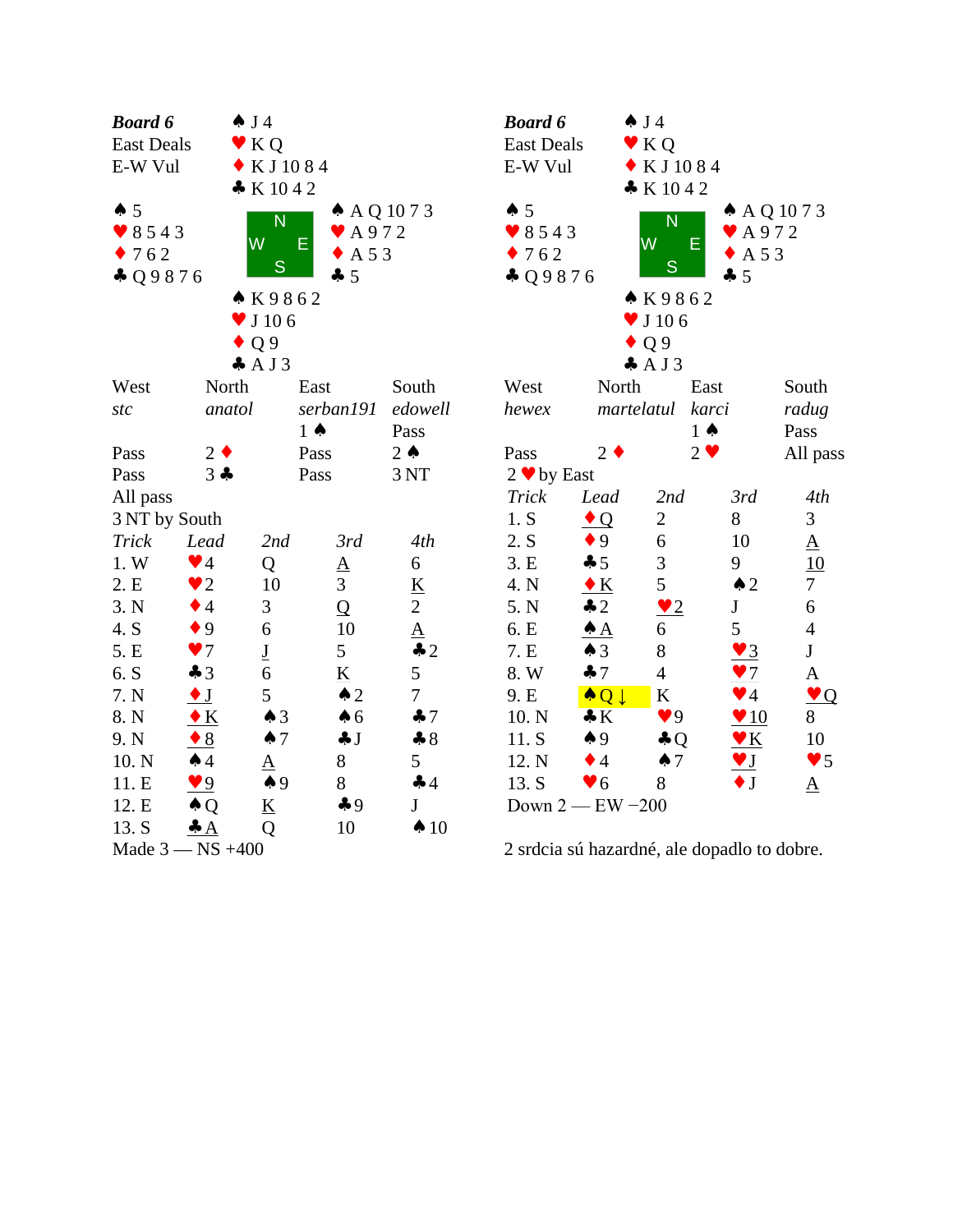| <b>Board 6</b>    |                        | $\spadesuit$ J4            |                                 |                 | Bo               |
|-------------------|------------------------|----------------------------|---------------------------------|-----------------|------------------|
| <b>East Deals</b> |                        | K Q                        |                                 |                 | Eas              |
| E-W Vul           |                        | KJ1084                     |                                 |                 | $E-N$            |
|                   |                        | K1042                      |                                 |                 |                  |
| $\spadesuit 5$    |                        | $\overline{\mathsf{N}}$    | $\triangle$ AQ 1073             |                 |                  |
| 8543              |                        | W                          | $\blacktriangleright$ A972<br>Е |                 |                  |
| 762               |                        |                            | A 5 3                           |                 |                  |
| $-29876$          |                        | S                          | $-5$                            |                 | $\bullet$        |
|                   |                        | ▲ K9862                    |                                 |                 |                  |
|                   |                        | $\blacktriangledown$ J 106 |                                 |                 |                  |
|                   |                        | $\bullet$ Q 9              |                                 |                 |                  |
|                   |                        | AJ3                        |                                 |                 |                  |
| West              | North                  |                            | East                            | South           | We               |
| stc               | anatol                 |                            | serban191                       | edowell         | hev              |
|                   |                        |                            | $1 \spadesuit$                  | Pass            |                  |
| Pass              | $2 \bullet$            |                            | Pass                            | $2 \triangle$   | Pas              |
| Pass              | $3 -$                  |                            | Pass                            | 3 NT            | $2 \bullet$      |
| All pass          |                        |                            |                                 |                 | Tr               |
| 3 NT by South     |                        |                            |                                 |                 | 1.               |
| Trick             | Lead                   | 2nd                        | 3rd                             | 4th             | 2.1              |
| 1. W              | $\blacktriangledown$ 4 | Q                          | $\underline{A}$                 | 6               | 3.1              |
| 2.E               | $\bullet$ 2            | 10                         | 3                               | K               | 4.1              |
| 3. N              | $\bullet$ 4            | 3                          | $\overline{Q}$                  | $\overline{c}$  | 5.1              |
| 4. S              | $\bullet$ 9            | 6                          | 10                              | $\underline{A}$ | 6.1              |
| 5. E              | $\blacktriangledown$   | $\underline{\mathbf{J}}$   | 5                               | $\clubsuit$ 2   | 7.1              |
| 6. S              | $\clubsuit$ 3          | 6                          | $\underline{\mathbf{K}}$        | 5               | 8.               |
| 7. N              | $\bullet$ J            | 5                          | $\triangle$ 2                   | $\overline{7}$  | 9.1              |
| 8. N              | $\bullet K$            | $\spadesuit$ 3             | $\clubsuit$ 6                   | $\clubsuit$ 7   | 10               |
| 9. N              | $\triangle$            | $\spadesuit$ 7             | $\clubsuit$ J                   | $\clubsuit 8$   | 11               |
| 10. N             | $\spadesuit$ 4         | <u>A</u>                   | 8                               | 5               | 12               |
| 11. E             | $\bullet$ 9            | $\spadesuit$ 9             | 8                               | 44              | 13.              |
| 12. E             | $\triangle Q$          | <u>K</u>                   | $\clubsuit$ 9                   | J               | Do               |
| 13. S             | $\clubsuit$ $A$        | Q                          | 10                              | $\spadesuit$ 10 |                  |
| Made 3 -          | $-$ NS $+400$          |                            |                                 |                 | 2 s <sub>1</sub> |

| <b>Board 6</b>      | $\spadesuit$ J4          |                            |                         |                        |  |  |  |
|---------------------|--------------------------|----------------------------|-------------------------|------------------------|--|--|--|
| <b>East Deals</b>   | $\bullet$ KQ             |                            |                         |                        |  |  |  |
| E-W Vul             | $\bullet$ KJ1084         |                            |                         |                        |  |  |  |
|                     |                          | K1042                      |                         |                        |  |  |  |
| $\spadesuit 5$      |                          |                            | $A$ A Q 10 7 3          |                        |  |  |  |
| 8543                |                          | N                          | $\bullet$ A972          |                        |  |  |  |
| 762                 | W                        | Е                          | A 5 3                   |                        |  |  |  |
| $-29876$            |                          | S                          | $-5$                    |                        |  |  |  |
|                     |                          | K9862                      |                         |                        |  |  |  |
|                     |                          | $\blacktriangledown$ J 106 |                         |                        |  |  |  |
|                     |                          | Q <sub>9</sub>             |                         |                        |  |  |  |
|                     |                          | AJ3                        |                         |                        |  |  |  |
| West                | North                    | East                       |                         | South                  |  |  |  |
| hewex               | martelatul               | karci                      |                         | radug                  |  |  |  |
|                     |                          | $1 \spadesuit$             |                         | Pass                   |  |  |  |
| Pass                | $2 \cdot$                | $2 \bullet$                |                         | All pass               |  |  |  |
| $2 \cdot b$ by East |                          |                            |                         |                        |  |  |  |
| <b>Trick</b>        | Lead                     | 2nd                        | 3rd                     | 4th                    |  |  |  |
| 1. S                | $\bullet$ Q              | $\overline{c}$             | 8                       | 3                      |  |  |  |
| 2. S                | $\bullet$ 9              | 6                          | 10                      | $\underline{A}$        |  |  |  |
| 3.E                 | $\clubsuit$ 5            | 3                          | 9                       | 10                     |  |  |  |
| 4. N                | $\bullet K$              | 5                          | $\triangle$ 2           | 7                      |  |  |  |
| 5. N                | $\clubsuit$ 2            | $\sqrt{2}$                 | ${\bf J}$               | 6                      |  |  |  |
| 6. E                | <u>♠ A</u>               | 6                          | 5                       | $\overline{4}$         |  |  |  |
| 7. E                | $\triangle$ 3            | 8                          | $\vee$ 3                | $\bf J$                |  |  |  |
| 8. W                | 47                       | $\overline{4}$             | $\bullet$ 7             | A                      |  |  |  |
| 9. E                | $\bullet$ Q $\downarrow$ | K                          | $\blacktriangledown$ 4  | $\bullet$ Q            |  |  |  |
| 10. N               | $\clubsuit K$            | $\bullet$ 9                | $\blacktriangledown 10$ | 8                      |  |  |  |
| 11. S               | $\spadesuit$ 9           | $\clubsuit$ Q              | $\blacktriangledown K$  | 10                     |  |  |  |
| 12. N               | $\bullet$ 4              | $\spadesuit$ 7             | $\blacktriangledown$ J  | $\blacktriangledown 5$ |  |  |  |
| 13. S               | $\blacktriangledown 6$   | 8                          | $\bullet$ J             | ${\underline{\rm A}}$  |  |  |  |
| Down $2$ - EW -200  |                          |                            |                         |                        |  |  |  |

2 srdcia sú hazardné, ale dopadlo to dobre.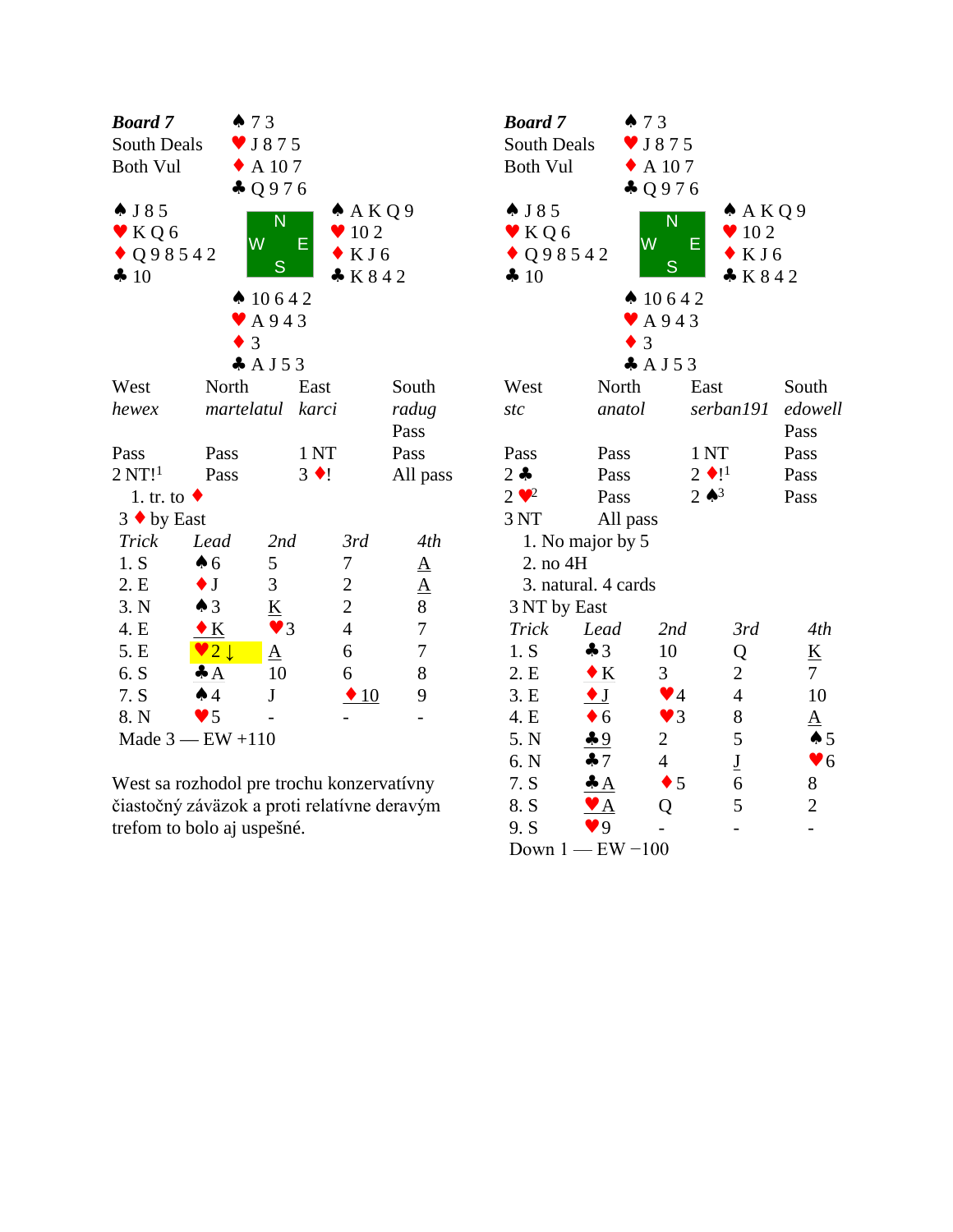| <b>Board</b> 7        | 473                    |                              |                |                  | <b>Boc</b>               |
|-----------------------|------------------------|------------------------------|----------------|------------------|--------------------------|
| South Deals           |                        | $\blacktriangledown$ J 8 7 5 |                |                  | Sou                      |
| <b>Both Vul</b>       |                        | $\triangle$ A 107            |                |                  | <b>Bot</b>               |
|                       |                        | 4 Q976                       |                |                  |                          |
| $\triangle$ J 8 5     |                        |                              | A K Q 9        |                  | $\clubsuit$ ]            |
| $\bullet$ KQ6         |                        | N                            | 102            |                  | $\mathbf{\cdot}$ l       |
| $\bullet$ Q 9 8 5 4 2 |                        | W<br>E                       | KJ6            |                  | $\overline{\mathcal{L}}$ |
| 4 10                  |                        | S                            | K842           |                  | $\clubsuit$ ]            |
|                       |                        | $\spadesuit$ 10642           |                |                  |                          |
|                       |                        | $\blacktriangleright$ A943   |                |                  |                          |
|                       | $\bullet$ 3            |                              |                |                  |                          |
|                       |                        | $A$ J 5 3                    |                |                  |                          |
| West                  | North                  |                              | East           | South            | We                       |
| hewex                 | martelatul             |                              | karci          | radug            | stc                      |
|                       |                        |                              |                | Pass             |                          |
| Pass                  | Pass                   |                              | 1NT            | Pass             | Pas                      |
| 2 N T!                | Pass                   |                              | $3 \bullet !$  | All pass         | $2 -$                    |
| 1. tr. to $\bullet$   |                        |                              |                |                  | $2 \bullet$              |
| $3 \cdot by East$     |                        |                              |                |                  | 3N                       |
| Trick                 | Lead                   | 2nd                          | 3rd            | 4th              | $\mathbf{1}$             |
| 1. S                  | $\spadesuit$ 6         | 5                            | 7              | $\underline{A}$  | $\overline{2}$           |
| 2. E                  | $\bullet$ J            | 3                            | $\overline{c}$ | $\underline{A}$  | 3                        |
| 3. N                  | $\triangle$ 3          | $\underline{\mathbf{K}}$     | $\overline{c}$ | 8                | 3 <sub>1</sub>           |
| 4. E                  | $\bullet K$            | $\vee$ 3                     | $\overline{4}$ | $\boldsymbol{7}$ | Tr                       |
| 5. E                  | $\vee$ 2 $\downarrow$  | $\underline{A}$              | 6              | $\boldsymbol{7}$ | 1.1                      |
| 6. S                  | $\clubsuit$ $A$        | 10                           | 6              | $8\,$            | 2.1                      |
| 7. S                  | $\spadesuit$ 4         | $\bf J$                      | $\triangle$ 10 | 9                | 3.1                      |
| 8. N                  | $\blacktriangledown$ 5 |                              |                |                  | 4.1                      |
|                       | Made $3$ - EW +110     |                              |                |                  | 5.                       |

West sa rozhodol pre trochu konzervatívny čiastočný záväzok a proti relatívne deravým trefom to bolo aj uspešné.

| <b>Board</b> 7               |                                   | 473                        |                          |                          |  |
|------------------------------|-----------------------------------|----------------------------|--------------------------|--------------------------|--|
| South Deals                  |                                   | $\bullet$ J875             |                          |                          |  |
| <b>Both Vul</b>              |                                   | A 107                      |                          |                          |  |
|                              |                                   | $\clubsuit$ Q976           |                          |                          |  |
| $\spadesuit$ J 8 5           |                                   | N                          | A K Q 9                  |                          |  |
| $\blacktriangledown$ KQ6     |                                   | W                          | $\bullet$ 10 2<br>Е      |                          |  |
| $\bullet$ Q 9 8 5 4 2        |                                   |                            | KJ6                      |                          |  |
| 4 10                         |                                   | S                          | K842                     |                          |  |
|                              |                                   | $\spadesuit$ 10642         |                          |                          |  |
|                              |                                   | $\blacktriangleright$ A943 |                          |                          |  |
|                              |                                   | 3                          |                          |                          |  |
|                              |                                   | $A$ J 5 3                  |                          |                          |  |
| West                         | North                             |                            | East                     | South                    |  |
| stc                          | anatol                            |                            | serban191                | edowell                  |  |
|                              |                                   |                            |                          | Pass                     |  |
| Pass                         | Pass                              |                            | 1 <sub>NT</sub>          | Pass                     |  |
| $2 -$                        | Pass                              |                            | $2 \bullet 1^1$          | Pass                     |  |
| $2 \cdot \cdot$ <sup>2</sup> | Pass                              |                            | $2 \bullet^3$            | Pass                     |  |
| 3 NT                         | All pass                          |                            |                          |                          |  |
|                              | 1. No major by 5                  |                            |                          |                          |  |
| 2. no 4H                     |                                   |                            |                          |                          |  |
|                              | 3. natural. 4 cards               |                            |                          |                          |  |
| 3 NT by East                 |                                   |                            |                          |                          |  |
| Trick                        | Lead                              | 2nd                        | 3rd                      | 4th                      |  |
| 1. S                         | $\clubsuit$ 3                     | 10                         | Q                        | $\underline{\mathbf{K}}$ |  |
| 2.E                          | $\bullet K$                       | 3 <sup>1</sup>             | 2                        | $7\overline{ }$          |  |
| 3.E                          | $\bullet$ J                       | $\blacktriangledown$ 4     | $\overline{4}$           | 10                       |  |
| 4. E                         | $\bullet$ 6                       | $\bullet$ 3                | 8                        | ${\underline{\rm A}}$    |  |
| 5. N                         | $-9$                              | $\overline{2}$             | 5                        | $\spadesuit$ 5           |  |
| 6. N                         | 47                                | $\overline{4}$             | $\underline{\mathbf{J}}$ | $\blacktriangledown 6$   |  |
| 7. S                         | $\clubsuit$ $A$                   | $\bullet$ 5                | 6                        | 8                        |  |
| 8. S                         | $\blacktriangledown$ $\mathbf{A}$ | Q                          | 5                        | $\overline{2}$           |  |
| 9. S                         | $\blacktriangledown 9$            |                            |                          |                          |  |
|                              | Down $1$ - EW $-100$              |                            |                          |                          |  |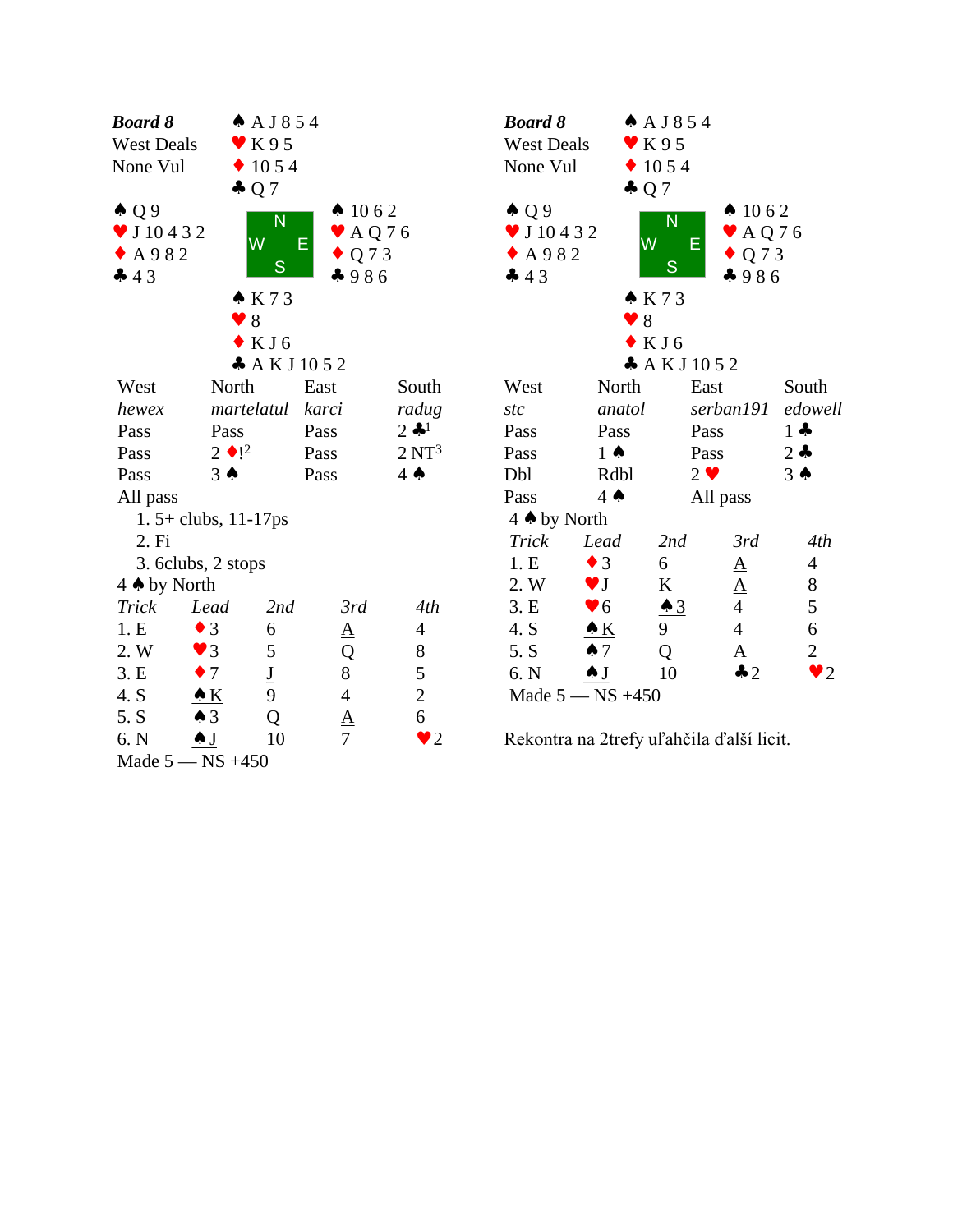| <b>Board 8</b>      |                        | A J854                       |                            |                              | <b>Boa</b>       |
|---------------------|------------------------|------------------------------|----------------------------|------------------------------|------------------|
| <b>West Deals</b>   |                        | $\blacktriangledown$ K95     |                            |                              | We:              |
| None Vul            |                        | $\div$ 10 5 4                |                            |                              | Nor              |
|                     |                        | $\clubsuit$ Q 7              |                            |                              |                  |
| $\triangle Q9$      |                        | N                            | $\spadesuit$ 1062          |                              | $\spadesuit$ (   |
| $\times$ J 10 4 3 2 |                        | $\overline{\mathsf{W}}$<br>E | $\blacktriangleright$ AQ76 |                              | $\bullet$ J      |
| $\triangle$ A982    |                        | S                            | $\bullet$ Q 7 3            |                              | $\cdot$ $\prime$ |
| 43                  |                        |                              | 4986                       |                              | 4 4              |
|                     |                        | K73                          |                            |                              |                  |
|                     |                        | 8                            |                            |                              |                  |
|                     |                        | $\bullet$ KJ6                |                            |                              |                  |
|                     |                        | A K J 10 52                  |                            |                              |                  |
| West                | North                  |                              | East                       | South                        | We:              |
| hewex               |                        | martelatul                   | karci                      | radug                        | stc              |
| Pass                | Pass                   |                              | Pass                       | $2$ $\clubsuit$ <sup>1</sup> | Pas:             |
| Pass                | $2 \bullet !^2$        |                              | Pass                       | $2 \mathrm{NT}^3$            | Pas:             |
| Pass                | $3 \spadesuit$         |                              | Pass                       | $4 \spadesuit$               | Dbl              |
| All pass            |                        |                              |                            |                              | Pas:             |
|                     | $1.5 + clubs, 11-17ps$ |                              |                            |                              | $4 \spadesuit$   |
| 2. Fi               |                        |                              |                            |                              | Tri              |
|                     | 3. 6clubs, 2 stops     |                              |                            |                              | 1.1              |
| 4 A by North        |                        |                              |                            |                              | 2.1              |
| Trick               | Lead                   | 2nd                          | 3rd                        | 4th                          | 3.1              |
| 1.E                 | $\bullet$ 3            | 6                            | $\underline{A}$            | $\overline{4}$               | 4.               |
| 2. W                | $\vee$ 3               | 5                            | $\overline{Q}$             | 8                            | 5.               |
| 3.E                 | $\bullet$ 7            | $\underline{\mathbf{J}}$     | 8                          | 5                            | 6.1              |
| 4. S                | K                      | 9                            | $\overline{4}$             | $\overline{c}$               | Ma               |
| 5. S                | $\triangle$ 3          | Q                            | $\underline{A}$            | 6                            |                  |
| 6. N                | $\clubsuit$ J          | 10                           | $\overline{7}$             | $\bullet$ 2                  | Rek              |
|                     | Made $5 - NS +450$     |                              |                            |                              |                  |

| <b>Board 8</b>                                                    |                        | $A$ A J 8 5 4                |                                                                                  |                         |  |
|-------------------------------------------------------------------|------------------------|------------------------------|----------------------------------------------------------------------------------|-------------------------|--|
| <b>West Deals</b>                                                 |                        | $\blacktriangledown$ K 9 5   |                                                                                  |                         |  |
| None Vul                                                          |                        | $\bullet$ 10 5 4             |                                                                                  |                         |  |
|                                                                   | $\clubsuit$ Q 7        |                              |                                                                                  |                         |  |
| $\triangle Q$ 9<br>$\bullet$ J 10 4 3 2<br>$\triangle$ A982<br>43 |                        | N<br>W<br>S<br>$\bullet$ K73 | $\spadesuit$ 1062<br>$\blacktriangleright$ AQ76<br>Е<br>$\triangle Q$ 73<br>4986 |                         |  |
|                                                                   | $\bullet$ 8            |                              |                                                                                  |                         |  |
|                                                                   |                        | $\bullet$ KJ6                |                                                                                  |                         |  |
|                                                                   |                        | A K J 10 52                  |                                                                                  |                         |  |
| West                                                              | North                  |                              | East                                                                             | South                   |  |
| stc                                                               | anatol                 |                              | serban191                                                                        | edowell                 |  |
| Pass                                                              | Pass                   |                              | Pass                                                                             | $1 -$                   |  |
| Pass                                                              | $1 \spadesuit$         |                              | Pass                                                                             | $2 -$                   |  |
| Dbl                                                               | Rdbl                   |                              | $2 \bullet$                                                                      | $3 \spadesuit$          |  |
| Pass                                                              | $4 \spadesuit$         |                              | All pass                                                                         |                         |  |
| 4 A by North                                                      |                        |                              |                                                                                  |                         |  |
| Trick                                                             | Lead                   | 2nd                          | 3rd                                                                              | 4th                     |  |
| 1.E                                                               | $\bullet$ 3            | 6                            |                                                                                  | 4                       |  |
| 2. W                                                              | $\blacktriangledown$ J | K                            | $\frac{\overline{A}}{\underline{A}}$                                             | 8                       |  |
| 3.E                                                               | $\blacktriangledown 6$ | $\triangle$ 3                |                                                                                  | 5                       |  |
| 4. S                                                              | <u> ▲ K</u>            | 9                            | $\overline{4}$                                                                   | 6                       |  |
| 5. S                                                              | $\clubsuit$ 7          | Q                            | <u>A</u>                                                                         | $\overline{c}$          |  |
| 6. N                                                              | $\triangle J$          | 10                           | $\clubsuit 2$                                                                    | $\blacktriangleright$ 2 |  |
| Made $5 - NS +450$                                                |                        |                              |                                                                                  |                         |  |

Rekontra na 2trefy uľahčila ďalší licit.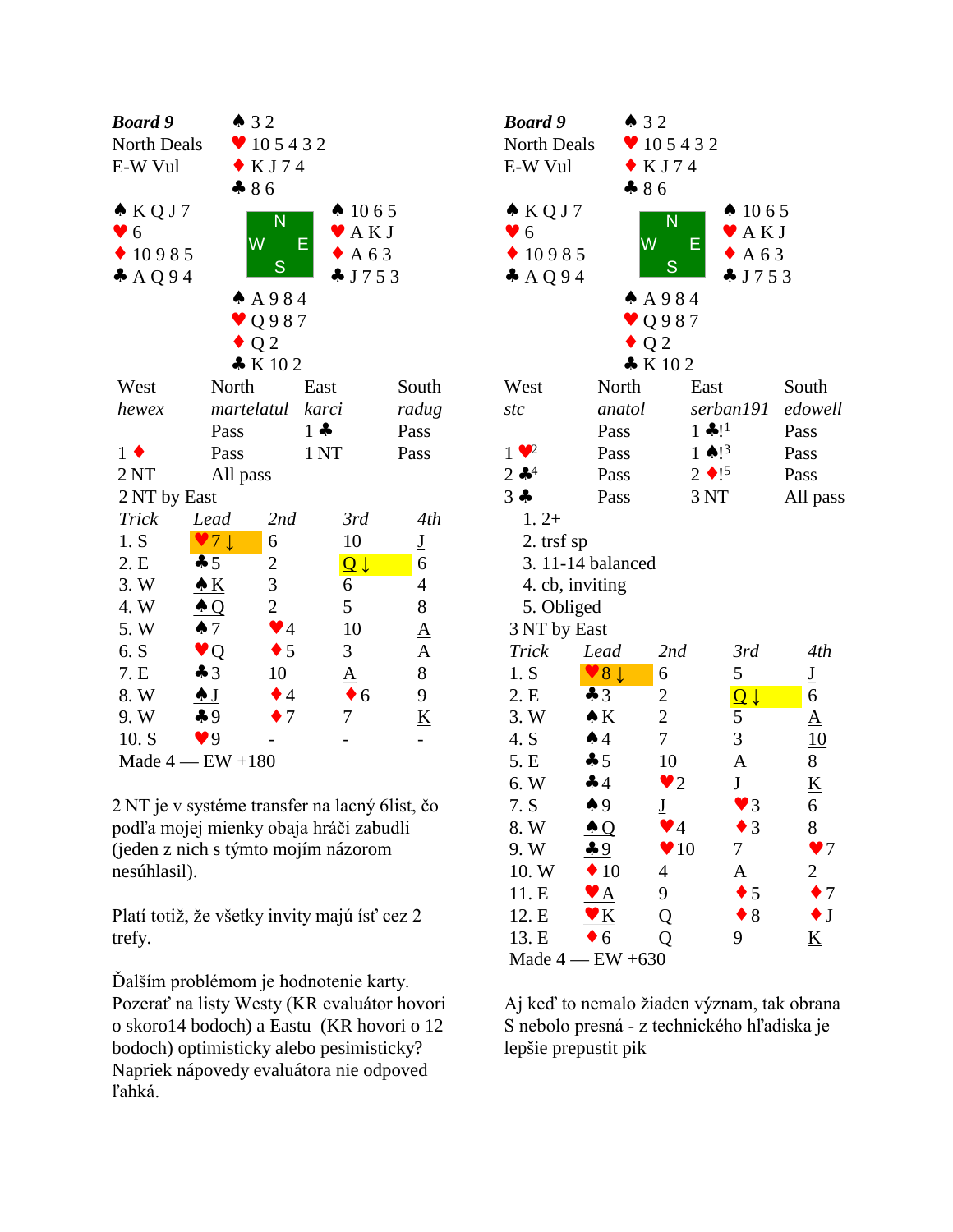| Board 9          | 432                                       |                        |                                      |                          | <b>Boc</b>      |
|------------------|-------------------------------------------|------------------------|--------------------------------------|--------------------------|-----------------|
| North Deals      |                                           | $\bullet$ 105432       |                                      |                          | N <sub>O1</sub> |
| E-W Vul          |                                           | $\bullet$ KJ74         |                                      |                          | $E-V$           |
|                  | $-86$                                     |                        |                                      |                          |                 |
| $\triangle KQJ7$ |                                           | N                      | $\spadesuit$ 1065                    |                          | A I             |
| $\bullet$ 6      |                                           | W                      | $\blacktriangleright$ AKJ<br>E       |                          | $\bullet$ (     |
| $\bullet$ 10985  |                                           | S                      | AA63                                 |                          |                 |
| $A$ AQ94         |                                           |                        | J753                                 |                          | $\clubsuit$     |
|                  |                                           | A 984                  |                                      |                          |                 |
|                  |                                           | $\vee$ Q987            |                                      |                          |                 |
|                  |                                           | $\bullet$ Q 2          |                                      |                          |                 |
|                  |                                           | K102                   |                                      |                          |                 |
| West             | North                                     |                        | East                                 | South                    | We              |
| hewex            | martelatul                                |                        | karci                                | radug                    | stc             |
|                  | Pass                                      |                        | $1 -$                                | Pass                     |                 |
| $1 \bullet$      | Pass                                      |                        | 1 <sub>NT</sub>                      | Pass                     | $1 \vee$        |
| 2 <sub>NT</sub>  | All pass                                  |                        |                                      |                          | $2 -$           |
| 2 NT by East     |                                           |                        |                                      |                          | $3 +$           |
| <b>Trick</b>     | Lead                                      | 2nd                    | 3rd                                  | 4th                      | $\mathbf{1}$    |
| 1. S             | $\bullet$ 7 $\downarrow$                  | 6                      | 10                                   | $\underline{\mathrm{J}}$ |                 |
| 2. E             | 45                                        | $\overline{c}$         | $\overline{\mathsf{Q}}$ $\downarrow$ | 6                        | $\frac{2}{4}$   |
| 3.W              | $\triangle K$                             | 3                      | 6                                    | $\overline{4}$           |                 |
| 4.W              | $\triangle Q$                             | $\overline{2}$         | 5                                    | 8                        | 5               |
| 5. W             | $\spadesuit$ 7                            | $\blacktriangledown$ 4 | 10                                   | $\underline{A}$          | 3 <sub>1</sub>  |
| 6. S             | $\blacktriangledown Q$                    | $\bullet$ 5            | 3                                    | $\underline{A}$          | Tr              |
| 7. E             | $\clubsuit$ 3                             | 10                     | ${\underline{\rm A}}$                | 8                        | 1.              |
| 8. W             | $\overline{\bullet}$ $\overline{\bullet}$ | $\bullet$ 4            | 6                                    | 9                        | 2.1             |
| 9.W              | $\clubsuit$ 9                             | $\bullet$ 7            | 7                                    | $\underline{\mathbf{K}}$ | 3.              |
| 10. S            | $\blacktriangledown$ 9                    |                        |                                      |                          | 4.1             |
|                  | Made $4$ - EW $+180$                      |                        |                                      |                          | 5.1             |

2 NT je v systéme transfer na lacný 6list, čo podľa mojej mienky obaja hráči zabudli (jeden z nich s týmto mojím názorom nesúhlasil).

Platí totiž, že všetky invity majú ísť cez 2 trefy.

Ďalším problémom je hodnotenie karty. Pozerať na listy Westy (KR evaluátor hovori o skoro14 bodoch) a Eastu (KR hovori o 12 bodoch) optimisticky alebo pesimisticky? Napriek nápovedy evaluátora nie odpoved ľahká.

| <b>Board</b> 9               | $\bullet$ 32                                      |                               |                           |                          |  |
|------------------------------|---------------------------------------------------|-------------------------------|---------------------------|--------------------------|--|
| North Deals                  |                                                   | $\bullet$ 105432              |                           |                          |  |
| E-W Vul                      |                                                   | $\bullet$ KJ74                |                           |                          |  |
|                              | $-86$                                             |                               |                           |                          |  |
| $\triangle KQJ7$             |                                                   |                               | $\spadesuit$ 1065         |                          |  |
| $\bullet$ 6                  |                                                   | N                             | $\blacktriangleright$ AKJ |                          |  |
| $\bullet$ 10985              | W                                                 | Е                             | AA63                      |                          |  |
| A Q 94                       |                                                   | S                             | $\clubsuit$ J753          |                          |  |
|                              |                                                   | A 984                         |                           |                          |  |
|                              |                                                   | $\vee$ Q987                   |                           |                          |  |
|                              |                                                   | Q <sub>2</sub>                |                           |                          |  |
|                              |                                                   | K102                          |                           |                          |  |
| West                         | North                                             | East                          |                           | South                    |  |
| stc                          | anatol                                            |                               | serban191                 | edowell                  |  |
|                              | Pass                                              | $1 \bullet !^1$               |                           | Pass                     |  |
| $1 \cdot \cdot$ <sup>2</sup> | Pass                                              | $1 \spadesuit$ ! <sup>3</sup> |                           | Pass                     |  |
| $2$ + $^4$                   | Pass                                              | $2 \bullet 1^5$               |                           | Pass                     |  |
| $3 +$                        | Pass                                              | 3 <sub>NT</sub>               |                           | All pass                 |  |
| $1.2+$                       |                                                   |                               |                           |                          |  |
| 2. trsf sp                   |                                                   |                               |                           |                          |  |
| 3.11-14 balanced             |                                                   |                               |                           |                          |  |
| 4. cb, inviting              |                                                   |                               |                           |                          |  |
| 5. Obliged                   |                                                   |                               |                           |                          |  |
| 3 NT by East                 |                                                   |                               |                           |                          |  |
| <b>Trick</b>                 | Lead                                              | 2nd                           | 3rd                       | 4th                      |  |
| 1. S                         | $\vee 8 \downarrow$                               | 6                             | 5                         | $\underline{\mathbf{J}}$ |  |
| 2. E                         | $\clubsuit$ 3                                     | 2                             | $\overline{\mathsf{Q}}$   | 6                        |  |
| 3. W                         | $\bullet K$                                       | $\overline{2}$                | 5                         | $\underline{A}$          |  |
| 4. S                         | $\spadesuit$ 4                                    | 7                             | 3                         | 10                       |  |
| 5. E                         | $-5$                                              | 10                            | $\frac{A}{J}$             | 8                        |  |
| 6.W                          | $\clubsuit$ 4                                     | $\bullet$ 2                   |                           | $\underline{\mathbf{K}}$ |  |
| 7. S                         | $\clubsuit 9$                                     | J                             | $\blacktriangledown$ 3    | 6                        |  |
| 8. W                         | $\triangle Q$                                     | $\blacktriangledown$ 4        | $\bullet$ 3               | 8                        |  |
| 9. W                         | 49                                                | $\blacktriangledown 10$       | 7                         | $\bullet$ 7              |  |
| 10. W                        | $\blacklozenge$ 10                                | 4                             | $\Delta$                  | $\overline{c}$           |  |
| 11. E                        | $\bullet$ A                                       | 9                             | 5                         | $\overline{7}$           |  |
| 12. E                        | $\underline{\mathbf{v}}$ $\underline{\mathbf{K}}$ | Q                             | 8                         | $\bullet$ J              |  |
| 13. E                        | $\bullet$ 6                                       | Q                             | 9                         | $\underline{\mathbf{K}}$ |  |
| Made $4$ - EW +630           |                                                   |                               |                           |                          |  |

Aj keď to nemalo žiaden význam, tak obrana S nebolo presná - z technického hľadiska je lepšie prepustit pik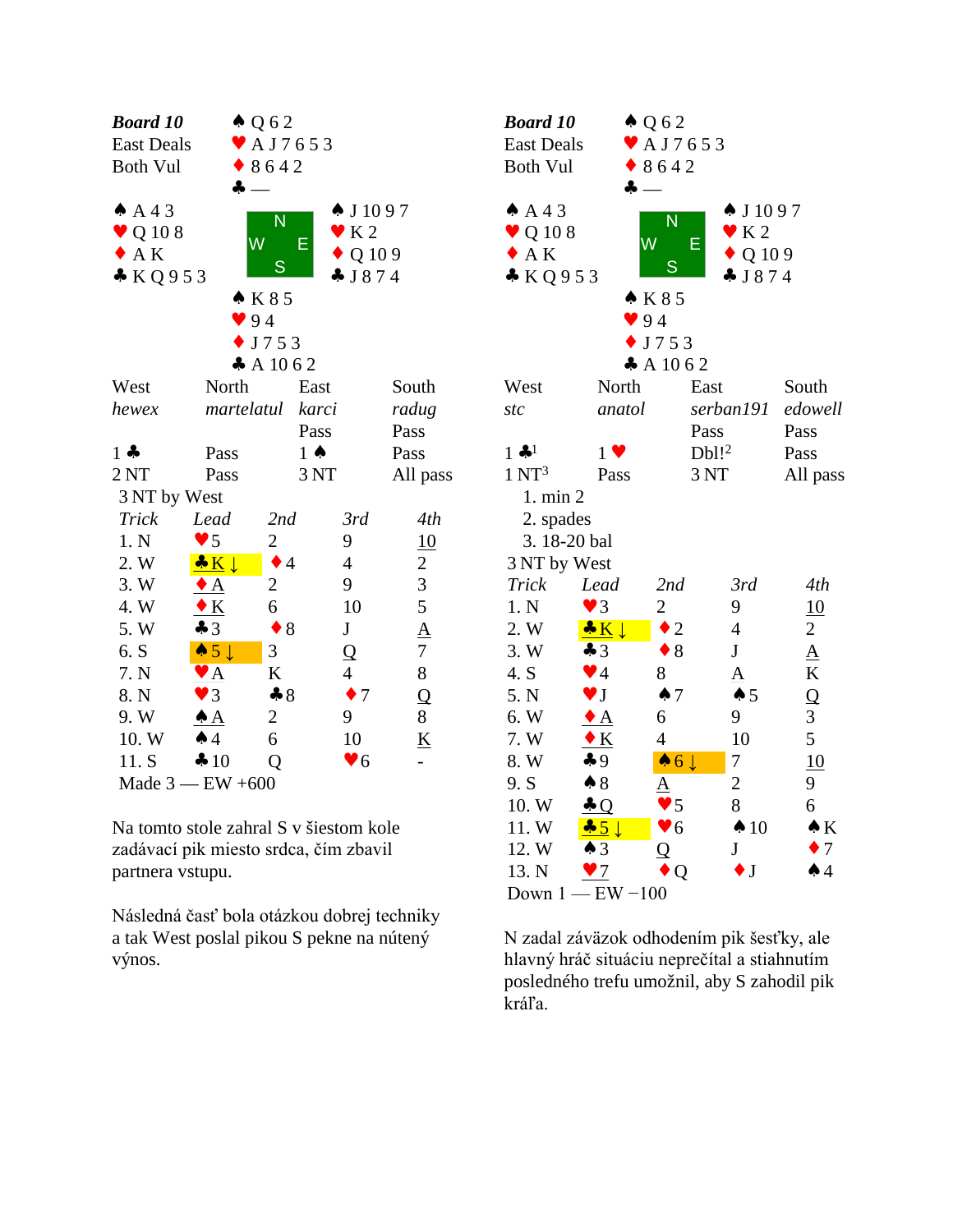| <b>Board 10</b>                                   |                         | $\triangle Q 62$        |                        |                          | <b>Boc</b>               |
|---------------------------------------------------|-------------------------|-------------------------|------------------------|--------------------------|--------------------------|
| $\blacktriangleright$ AJ7653<br><b>East Deals</b> |                         |                         |                        |                          |                          |
| <b>Both Vul</b>                                   |                         | 8642                    |                        |                          | <b>Bot</b>               |
|                                                   | 4                       |                         |                        |                          |                          |
| $AA$ 3                                            |                         | N                       | $\spadesuit$ J 1097    |                          | ♠ /                      |
| Q 108                                             |                         | $\overline{\mathsf{W}}$ | K <sub>2</sub>         |                          | $\overline{\mathcal{L}}$ |
| $\bullet$ AK                                      |                         | Е                       | Q 109                  |                          | $\overline{1}$           |
| KQ953                                             |                         | S                       | J874                   |                          | $\clubsuit$ ]            |
|                                                   |                         | $\bullet$ K 8 5         |                        |                          |                          |
|                                                   |                         | 94                      |                        |                          |                          |
|                                                   |                         | J753                    |                        |                          |                          |
|                                                   |                         | A 1062                  |                        |                          |                          |
| West                                              | North                   |                         | East                   | South                    | We                       |
| hewex                                             | martelatul              |                         | karci                  | radug                    | stc                      |
|                                                   |                         |                         | Pass                   | Pass                     |                          |
| $1 -$                                             | Pass                    |                         | $1 \spadesuit$         | Pass                     | $1 -$                    |
| 2NT                                               | Pass                    |                         | 3 NT                   | All pass                 | 1 <sub>N</sub>           |
| 3 NT by West                                      |                         |                         |                        |                          | $\mathbf{1}$             |
| <b>Trick</b>                                      | Lead                    | 2nd                     | 3rd                    | 4th                      | $\overline{c}$           |
| 1. N                                              | $\blacktriangledown$ 5  | $\overline{c}$          | 9                      | 10                       | 3                        |
| 2. W                                              | $\bullet K$             | $\bullet$ 4             | $\overline{4}$         | $\overline{2}$           | 3N                       |
| 3.W                                               | $\bullet$ A             | $\overline{c}$          | 9                      | $\overline{3}$           | Tri                      |
| 4. W                                              | $\bullet K$             | 6                       | 10                     | 5                        | 1.1                      |
| 5.W                                               | $\clubsuit$ 3           | $\bullet$ 8             | J                      | $\underline{A}$          | $2.$ '                   |
| 6. S                                              | $\bullet 5 \downarrow$  | 3                       | Q                      | $\overline{7}$           | 3.1                      |
| 7. N                                              | $\mathbf{Y} \mathbf{A}$ | K                       | $\overline{4}$         | 8                        | 4.                       |
| 8. N                                              | $\blacktriangledown$ 3  | $\clubsuit 8$           | 7                      | Q                        | 5.1                      |
| 9. W                                              | $\clubsuit$ $A$         | 2                       | 9                      | 8                        | 6.                       |
| 10.W                                              | $\spadesuit$ 4          | 6                       | 10                     | $\underline{\mathbf{K}}$ | 7.1                      |
| 11. S                                             | 410                     | Q                       | $\blacktriangledown 6$ |                          | 8.1                      |
|                                                   | Made $3$ - EW +600      |                         |                        |                          | 9.5                      |

Na tomto stole zahral S v šiestom kole zadávací pik miesto srdca, čím zbavil partnera vstupu.

Následná časť bola otázkou dobrej techniky a tak West poslal pikou S pekne na nútený výnos.

| <b>Board 10</b><br><b>East Deals</b>                                                                                                                  |                                       | $\triangle Q 62$<br>$\blacktriangleright$ AJ7653 |                       |                      |  |  |  |  |
|-------------------------------------------------------------------------------------------------------------------------------------------------------|---------------------------------------|--------------------------------------------------|-----------------------|----------------------|--|--|--|--|
|                                                                                                                                                       | <b>Both Vul</b><br>$\bullet$ 8642     |                                                  |                       |                      |  |  |  |  |
| ♣<br>$AA$ 3<br>$\spadesuit$ J 1097<br>N<br>$\mathbf{V}$ K 2<br>$\vee$ Q 108<br>W<br>E<br>$\bullet$ AK<br>$\bullet$ Q 109<br>S<br>KQ953<br>J874<br>K85 |                                       |                                                  |                       |                      |  |  |  |  |
|                                                                                                                                                       | 94                                    |                                                  |                       |                      |  |  |  |  |
|                                                                                                                                                       |                                       | J753                                             |                       |                      |  |  |  |  |
|                                                                                                                                                       |                                       | A 1062                                           |                       |                      |  |  |  |  |
| West                                                                                                                                                  | North                                 |                                                  | East                  | South                |  |  |  |  |
| stc                                                                                                                                                   | anatol                                |                                                  | serban191             | edowell              |  |  |  |  |
|                                                                                                                                                       |                                       |                                                  | Pass                  | Pass                 |  |  |  |  |
| $1$ of $^{1}$                                                                                                                                         | $1 \bullet$                           |                                                  | Dbl! <sup>2</sup>     | Pass                 |  |  |  |  |
| $1 \mathrm{NT}^3$                                                                                                                                     | Pass                                  |                                                  | 3 NT                  | All pass             |  |  |  |  |
| 1. min 2                                                                                                                                              |                                       |                                                  |                       |                      |  |  |  |  |
| 2. spades                                                                                                                                             |                                       |                                                  |                       |                      |  |  |  |  |
| 3.18-20 bal                                                                                                                                           |                                       |                                                  |                       |                      |  |  |  |  |
| 3 NT by West                                                                                                                                          |                                       |                                                  |                       |                      |  |  |  |  |
| <b>Trick</b>                                                                                                                                          | Lead                                  | 2nd                                              | 3rd                   | 4th                  |  |  |  |  |
| 1. N<br>2. W                                                                                                                                          | $\bullet$ 3<br>$\bullet K \downarrow$ | $\overline{c}$<br>$\overline{2}$                 | 9<br>$\overline{4}$   | 10<br>$\overline{2}$ |  |  |  |  |
| 3. W                                                                                                                                                  | $\clubsuit$ 3                         | 8                                                | $\mathbf{J}$          | $\underline{A}$      |  |  |  |  |
| 4. S                                                                                                                                                  | $\blacktriangledown$ 4                | 8                                                | ${\underline{\rm A}}$ | K                    |  |  |  |  |
| 5. N                                                                                                                                                  | $\blacktriangledown$ J                | $\spadesuit$ 7                                   | $\spadesuit$ 5        | $\overline{Q}$       |  |  |  |  |
| 6. W                                                                                                                                                  | $\bullet$ A                           | 6                                                | 9                     | 3                    |  |  |  |  |
| 7. W                                                                                                                                                  | $\bullet K$                           | $\overline{4}$                                   | 10                    | 5                    |  |  |  |  |
| 8. W                                                                                                                                                  | $\clubsuit$ 9                         | $\bullet 6 \downarrow$                           | 7                     | 10                   |  |  |  |  |
| 9. S                                                                                                                                                  | $\clubsuit 8$                         | <u>A</u>                                         | $\overline{c}$        | 9                    |  |  |  |  |
| 10. W                                                                                                                                                 | $\clubsuit$ Q                         | $\bullet$ 5                                      | 8                     | 6                    |  |  |  |  |
| 11.W                                                                                                                                                  | $-5$                                  | $\bullet$ 6                                      | $\spadesuit$ 10       | $\bullet K$          |  |  |  |  |
| 12. W                                                                                                                                                 | $\clubsuit$ 3                         | Q                                                | J                     | $\bullet$ 7          |  |  |  |  |
| 13. N                                                                                                                                                 | $\blacktriangledown$                  | Q                                                | $\bullet$ J           | $\spadesuit$ 4       |  |  |  |  |
| Down 1 -                                                                                                                                              | $-$ EW $-100$                         |                                                  |                       |                      |  |  |  |  |

N zadal záväzok odhodením pik šesťky, ale hlavný hráč situáciu neprečítal a stiahnutím posledného trefu umožnil, aby S zahodil pik kráľa.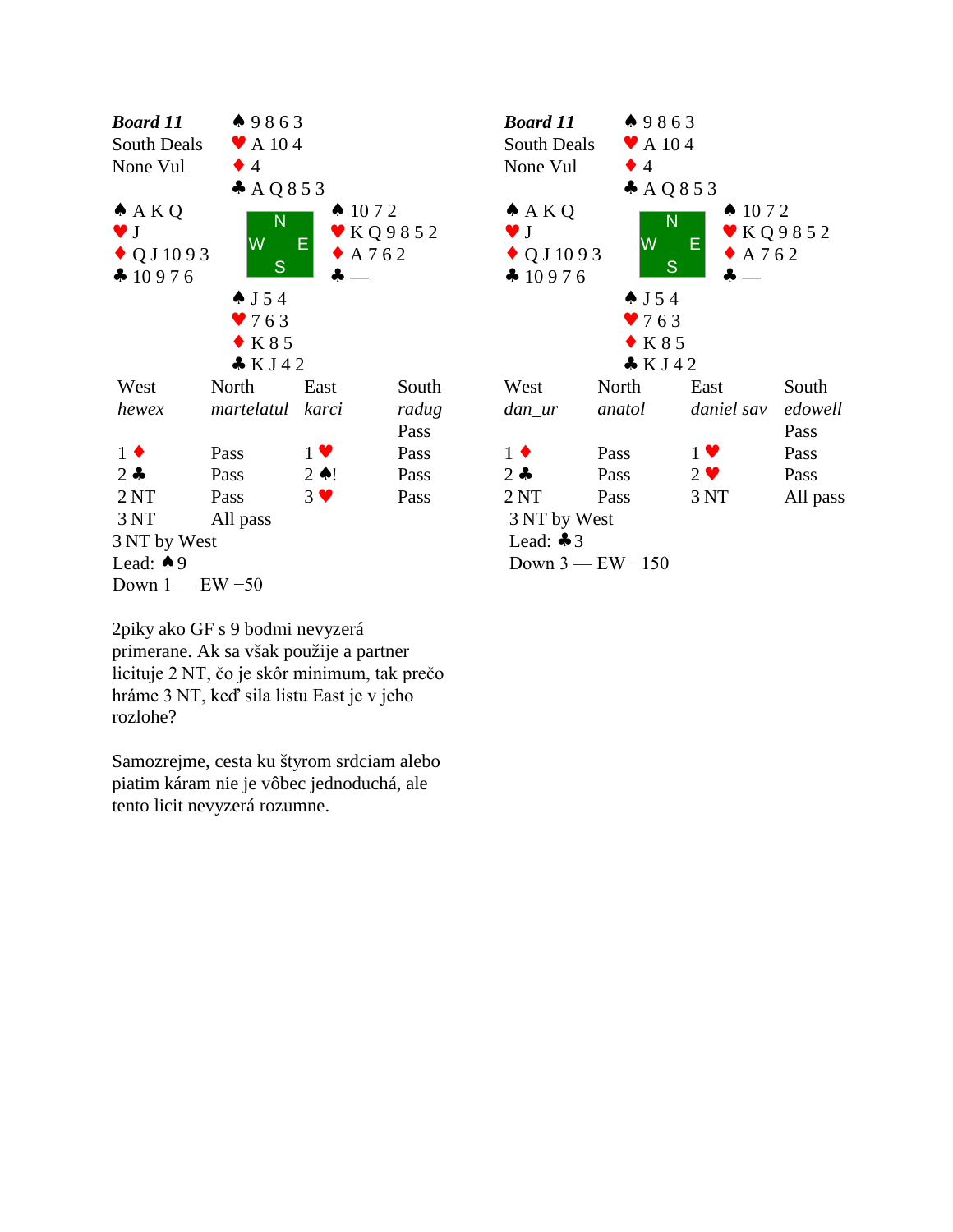



2piky ako GF s 9 bodmi nevyzerá primerane. Ak sa však použije a partner Lead: 49<br>Down 1 — EW -50<br>2piky ako GF s 9 bodmi nevyzerá<br>primerane. Ak sa však použije a partner<br>licituje 2 NT, čo je skôr minimum, tak prečo<br>hráme 3 NT, keď sila listu East je v jeho Down 1 — EW –50<br>2piky ako GF s 9 bodmi nevyzerá<br>primerane. Ak sa však použije a partner<br>licituje 2 NT, čo je skôr minimum, tak prečo<br>hráme 3 NT, keď sila listu East je v jeho<br>rozlohe? rozlohe?

Samozrejme, cesta ku štyrom srdciam alebo piatim káram nie je vôbec jednoduchá, ale tento licit nevyzerá rozumne.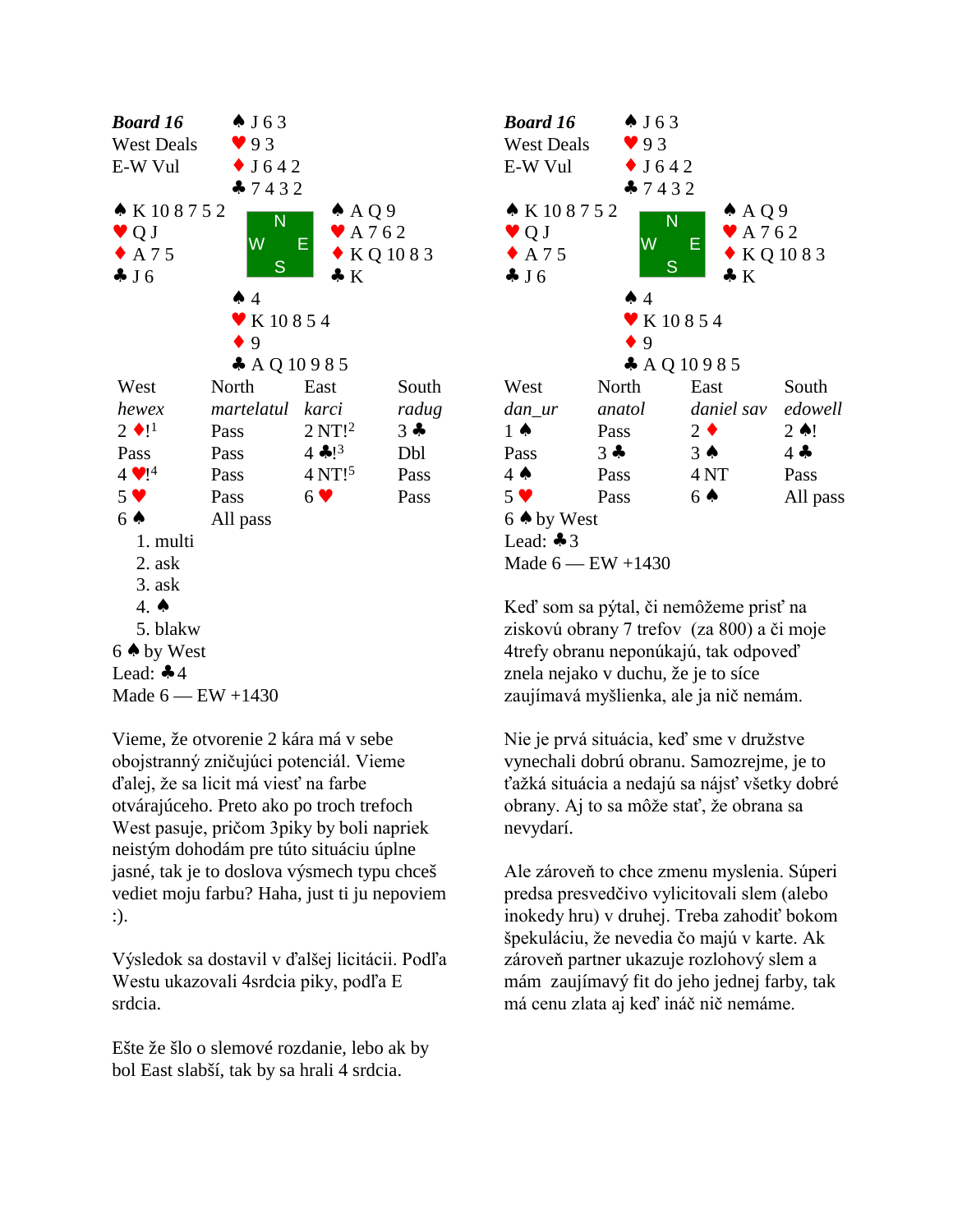

Vieme, že otvorenie 2 kára má v sebe obojstranný zničujúci potenciál. Vieme ďalej, že sa licit má viesť na farbe otvárajúceho. Preto ako po troch trefoch West pasuje, pričom 3piky by boli napriek neistým dohodám pre túto situáciu úplne jasné, tak je to doslova výsmech typu chceš vediet moju farbu? Haha, just ti ju nepoviem :).

Výsledok sa dostavil v ďalšej licitácii. Podľa Westu ukazovali 4srdcia piky, podľa E srdcia.

Ešte že šlo o slemové rozdanie, lebo ak by bol East slabší, tak by sa hrali 4 srdcia.



Keď som sa pýtal, či nemôžeme prisť na ziskovú obrany 7 trefov (za 800) a či moje 4trefy obranu neponúkajú, tak odpoveď znela nejako v duchu, že je to síce zaujímavá myšlienka, ale ja nič nemám.

Nie je prvá situácia, keď sme v družstve vynechali dobrú obranu. Samozrejme, je to ťažká situácia a nedajú sa nájsť všetky dobré obrany. Aj to sa môže stať, že obrana sa nevydarí.

Ale zároveň to chce zmenu myslenia. Súperi predsa presvedčivo vylicitovali slem (alebo inokedy hru) v druhej. Treba zahodiť bokom špekuláciu, že nevedia čo majú v karte. Ak zároveň partner ukazuje rozlohový slem a mám zaujímavý fit do jeho jednej farby, tak má cenu zlata aj keď ináč nič nemáme.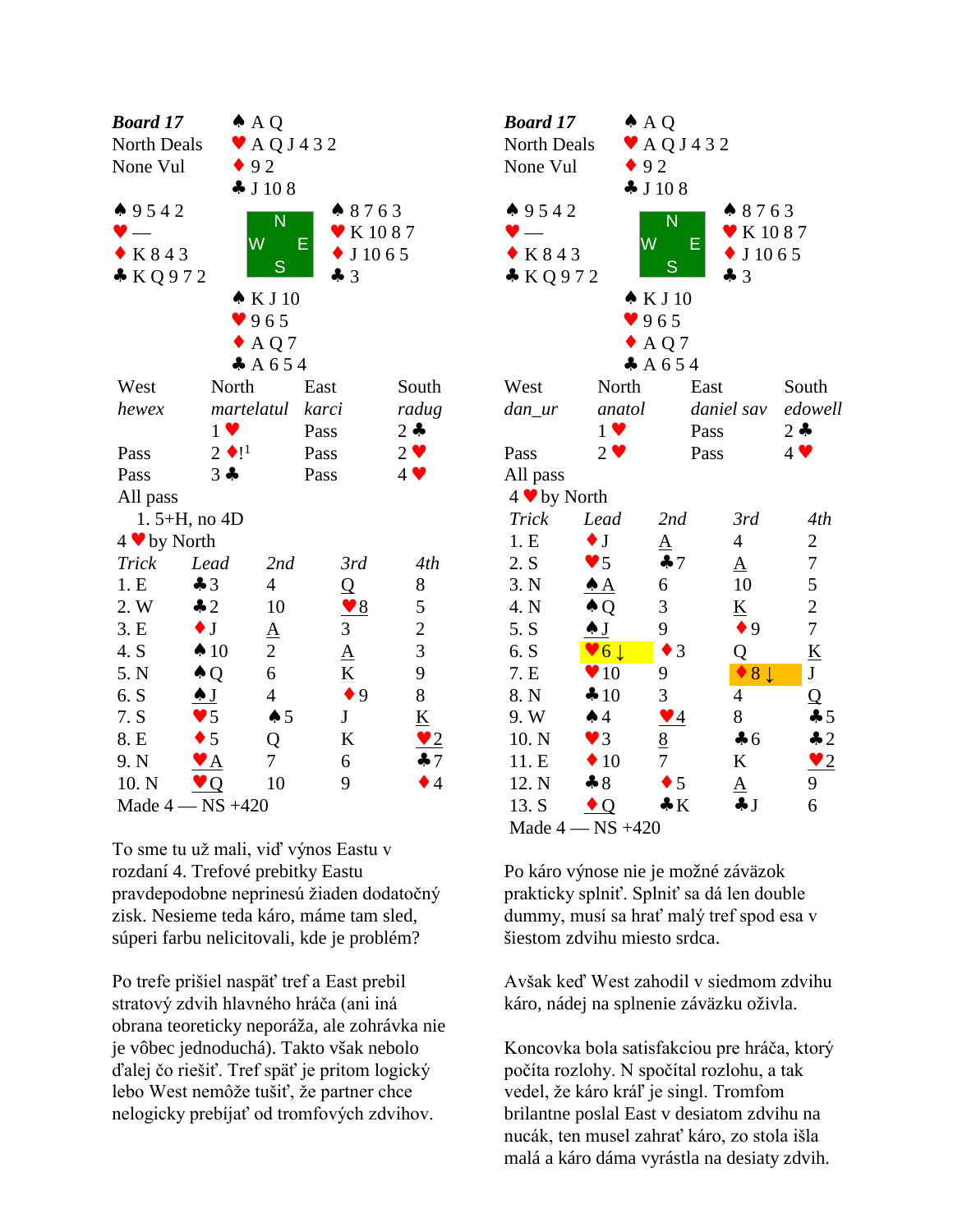| Board 17          |                           | $\triangle$ AQ               |                              |                 | <b>Boa</b>                        |
|-------------------|---------------------------|------------------------------|------------------------------|-----------------|-----------------------------------|
| North Deals       |                           | $\blacktriangleright$ AQJ432 |                              |                 | Nor                               |
| None Vul          |                           | $\bullet$ 92                 |                              |                 | Nor                               |
|                   |                           | J108                         |                              |                 |                                   |
| 49542             |                           |                              | 8763                         |                 | $\spadesuit$ 9                    |
|                   |                           | N                            | $\blacktriangleright$ K 1087 |                 |                                   |
| $\bullet$ K 8 4 3 |                           | $\overline{\textsf{W}}$      | Е<br>$\bullet$ J 10 6 5      |                 | $\bullet$ F                       |
| KQ972             |                           | S                            | 43                           |                 | $\clubsuit$ $\breve{\phantom{1}}$ |
|                   |                           | $\triangle$ K J 10           |                              |                 |                                   |
|                   |                           | 965                          |                              |                 |                                   |
|                   |                           | $\triangle$ AQ7              |                              |                 |                                   |
|                   |                           | A654                         |                              |                 |                                   |
| West              | North                     |                              | East                         | South           | We:                               |
| hewex             |                           | martelatul                   | karci                        | radug           | dan                               |
|                   | $1 \vee$                  |                              | Pass                         | $2 -$           |                                   |
| Pass              | $2 \bullet 1^1$           |                              | Pass                         | $2 \bullet$     | Pas:                              |
| Pass              | $3 -$                     |                              | Pass                         | $4 \vee$        | All                               |
| All pass          |                           |                              |                              |                 | 4 <sub>9</sub>                    |
|                   | 1. $5+H$ , no $4D$        |                              |                              |                 | Tri                               |
| 4 ♥ by North      |                           |                              |                              |                 | 1.1                               |
| Trick             | Lead                      | 2nd                          | 3rd                          | 4th             | 2.5                               |
| 1.E               | $\clubsuit$ 3             | $\overline{4}$               | $\overline{Q}$               | 8               | 3.1                               |
| 2. W              | $\clubsuit$ 2             | 10                           | $\vee$ 8                     | 5               | 4.1                               |
| 3.E               | $\bullet$ J               | $\underline{\mathbf{A}}$     | 3                            | $\overline{c}$  | 5.                                |
| 4. S              | $\spadesuit$ 10           | $\overline{2}$               | $\underline{A}$              | $\overline{3}$  | 6.                                |
| 5. N              | $\triangle Q$             | 6                            | $\underline{\mathbf{K}}$     | 9               | 7.1                               |
| 6. S              | $\clubsuit$ J             | $\overline{4}$               | $\bullet$ 9                  | 8               | 8.1                               |
| 7. S              | $\blacktriangledown$ 5    | $\spadesuit$ 5               | $\mathbf J$                  | $\underline{K}$ | 9.1                               |
| 8. E              | $\bullet$ 5               | Q                            | K                            | $\bullet$ 2     | 10.                               |
| 9. N              | $\mathbf{Y}$ $\mathbf{A}$ | 7                            | 6                            | $\clubsuit$ 7   | 11.                               |
| 10. N             | $\vee$ Q                  | 10                           | 9                            | $\bullet$ 4     | 12.                               |
|                   | Made $4 - NS +420$        |                              |                              |                 | 13.                               |

To sme tu už mali, viď výnos Eastu v rozdaní 4. Trefové prebitky Eastu pravdepodobne neprinesú žiaden dodatočný zisk. Nesieme teda káro, máme tam sled, súperi farbu nelicitovali, kde je problém?

Po trefe prišiel naspäť tref a East prebil stratový zdvih hlavného hráča (ani iná obrana teoreticky neporáža, ale zohrávka nie je vôbec jednoduchá). Takto však nebolo ďalej čo riešiť. Tref späť je pritom logický lebo West nemôže tušiť, že partner chce nelogicky prebíjať od tromfových zdvihov.

| <b>Board 17</b>              |                         | $\triangle$ A Q              |                                                                         |                                  |  |
|------------------------------|-------------------------|------------------------------|-------------------------------------------------------------------------|----------------------------------|--|
| North Deals                  |                         | $\blacktriangleright$ AQJ432 |                                                                         |                                  |  |
| None Vul                     | $\bullet$ 92            |                              |                                                                         |                                  |  |
|                              |                         | J108                         |                                                                         |                                  |  |
| 49542<br>K843<br>* KQ972     | W                       | N<br>Е<br>S                  | $* 8763$<br>$\blacktriangleright$ K 10 8 7<br>J 10 6 5<br>$\clubsuit$ 3 |                                  |  |
|                              |                         | $\triangle$ K J 10           |                                                                         |                                  |  |
|                              |                         | 965                          |                                                                         |                                  |  |
|                              |                         | $\triangle$ AQ7              |                                                                         |                                  |  |
|                              |                         | A654                         |                                                                         |                                  |  |
| West                         | North                   | East                         |                                                                         | South                            |  |
| dan_ur                       | anatol                  |                              | daniel sav                                                              | edowell                          |  |
|                              | $1 \vee$<br>$2 \bullet$ | Pass                         |                                                                         | $2 - 1$                          |  |
| Pass                         |                         | Pass                         |                                                                         | $4$ $\blacktriangledown$         |  |
| All pass                     |                         |                              |                                                                         |                                  |  |
| 4 V by North<br><b>Trick</b> | Lead                    | 2nd                          | 3rd                                                                     | 4th                              |  |
| 1.E                          | $\bullet$ J             |                              | $\overline{4}$                                                          |                                  |  |
| 2. S                         | $\bullet$ 5             | $\underline{A}$<br>47        |                                                                         | $\overline{c}$<br>$\overline{7}$ |  |
| 3. N                         | $\clubsuit$ $\bf{A}$    | 6                            | $\Delta$<br>10                                                          | 5                                |  |
| 4. N                         | $\triangle Q$           | 3                            | $\underline{\mathbf{K}}$                                                | $\overline{c}$                   |  |
| 5. S                         | $\clubsuit$ $J$         | 9                            | $\bullet$ 9                                                             | $\overline{7}$                   |  |
| 6. S                         | $\vee 6\downarrow$      | 3<br>$\blacklozenge$         | Q                                                                       | $\underline{\mathbf{K}}$         |  |
| 7. E                         | $\blacktriangledown 10$ | 9                            | 8 <sup>1</sup>                                                          | $\underline{\mathbf{J}}$         |  |
| 8. N                         | 410                     | 3                            | 4                                                                       | Q                                |  |
| 9. W                         | $\spadesuit$ 4          | $\blacktriangledown$ 4       | 8                                                                       | 45                               |  |
| 10. N                        | $\blacktriangledown$ 3  | $\underline{8}$              | $\clubsuit$ 6                                                           | $\clubsuit$ 2                    |  |
| 11. E                        | $\blacklozenge$ 10      | 7                            | K                                                                       | $\vee$ 2                         |  |
| 12. N                        | $\clubsuit 8$           | $\bullet$ 5                  | $\Delta$                                                                | 9                                |  |
| 13. S                        | $\bullet$ Q             | $\clubsuit K$                | ÷J                                                                      | 6                                |  |
| Made 4 -                     | $-$ NS $+420$           |                              |                                                                         |                                  |  |

Po káro výnose nie je možné záväzok prakticky splniť. Splniť sa dá len double dummy, musí sa hrať malý tref spod esa v šiestom zdvihu miesto srdca.

Avšak keď West zahodil v siedmom zdvihu káro, nádej na splnenie záväzku oživla.

Koncovka bola satisfakciou pre hráča, ktorý počíta rozlohy. N spočítal rozlohu, a tak vedel, že káro kráľ je singl. Tromfom brilantne poslal East v desiatom zdvihu na nucák, ten musel zahrať káro, zo stola išla malá a káro dáma vyrástla na desiaty zdvih.